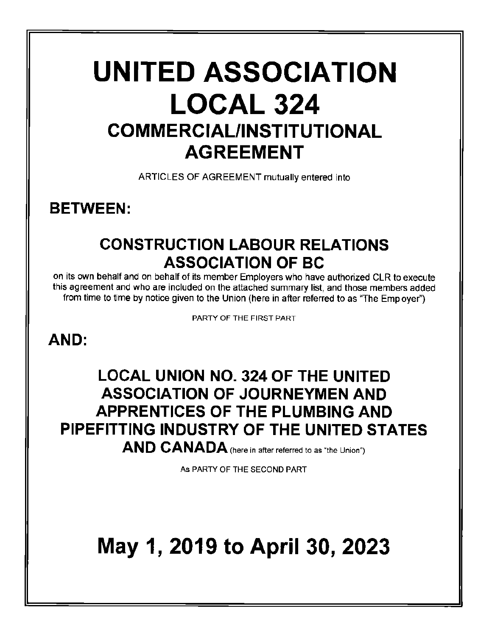# **UNITED ASSOCIATION LOCAL 324 COMMERCIAL/INSTITUTIONAL AGREEMENT**

ARTICLES OF AGREEMENT mutually entered into

**BETWEEN:** 

## **CONSTRUCTION LABOUR RELATIONS ASSOCIATION OF BC**

on its own behalf and on behalf of its member Employers who have authorized CLR to execute this agreement and who are included on the attached summary list, and those members added from time to time by notice given to the Union (here in after referred to as "The Employer'')

PARTY OF THE FIRST PART

### **AND:**

## **LOCAL UNION NO. 324 OF THE UNITED ASSOCIATION OF JOURNEYMEN AND APPRENTlCES OF THE PLUMBING AND PIPEFITTING INDUSTRY OF THE UNITED STATES AND CANADA** (here in after referred to as "the Union")

As PARTY OF THE SECOND PART

## **May 1, 2019 to April 30, 2023**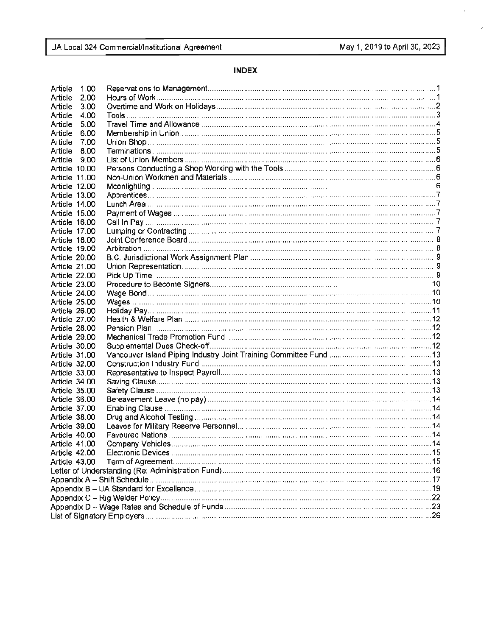ł,

 $\epsilon$ 

#### **INDEX**

| Article<br>1.00      |  |
|----------------------|--|
| 2.00<br>Article      |  |
| Article<br>3.00      |  |
| 4.00<br>Article      |  |
| Article<br>5.00      |  |
| Article<br>6.00      |  |
| Article<br>7.00      |  |
| Article<br>8.00      |  |
| Article 9.00         |  |
| Article 10.00        |  |
| Article 11.00        |  |
| Article 12.00        |  |
| Article 13.00        |  |
| <b>Article 14.00</b> |  |
| Article 15.00        |  |
| Article 16.00        |  |
| Article 17.00        |  |
| Article 18.00        |  |
| <b>Article 19.00</b> |  |
| Article 20.00        |  |
| Article 21.00        |  |
| Article 22.00        |  |
| Article 23.00        |  |
| Article 24.00        |  |
| <b>Article 25.00</b> |  |
| Article 26.00        |  |
| <b>Article 27.00</b> |  |
| Article 28.00        |  |
| Article 29.00        |  |
| Article 30.00        |  |
| Article 31.00        |  |
| Article 32.00        |  |
| Article 33.00        |  |
| Article 34.00        |  |
| Article 35.00        |  |
| Article 36.00        |  |
| Article 37.00        |  |
| Article 38.00        |  |
| Article 39.00        |  |
| Article 40.00        |  |
| Article 41.00        |  |
| Article 42.00        |  |
| Article 43.00        |  |
|                      |  |
|                      |  |
|                      |  |
|                      |  |
|                      |  |
|                      |  |
|                      |  |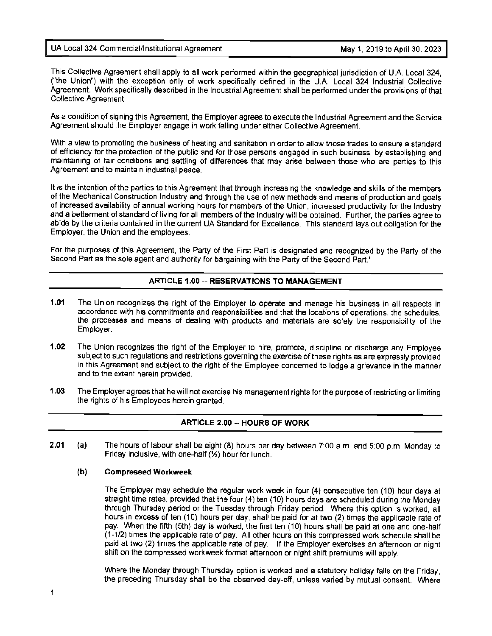UA Local 324 Commercial/Institutional Agreement May 1, 2019 to April 30, 2023

This Collective Agreement shall apply to all work performed within the geographical jurisdiction of U.A. Local 324, ("the Union") with the exception only of work specifically defined in the U.A. Local 324 Industrial Collective Agreement. Work specifically described in the Industrial Agreement shall be performed under the provisions of that Collective Agreement.

As a condition of signing this Agreement, the Employer agrees to execute the Industrial Agreement and the Service Agreement should the Employer engage in work falling under either Collective Agreement.

With a view to promoting the business of heating and sanitation in order to allow those trades to ensure a standard of efficiency for the protection of the public and for those persons engaged in such business, by establishing and maintaining of fair conditions and settling of differences that may arise between those who are parties to this Agreement and to maintain industrial peace.

It is the intention of the parties to this Agreement that through increasing the knowledge and skills of the members of the Mechanical Construction Industry and through the use of new methods and means of production and goals of increased availability of annual working hours for members of the Union, increased productivity for the Industry and a betterment of standard of living for all members of the Industry will be obtained. Further, the parties agree to abide by the criteria contained in the current UA Standard for Excellence. This standard lays out obligation for the Employer, the Union and the employees.

For the purposes of this Agreement, the Party of the First Part is designated and recognized by the Party of the Second Part as the sole agent and authority for bargaining with the Party of the Second Part."

#### **ARTICLE 1.00 -- RESERVATIONS TO MANAGEMENT**

- **1.01** The Union recognizes the right of the Employer to operate and manage his business in all respects in accordance with his commitments and responsibilities and that the locations of operations, the schedules, the processes and means of dealing with products and materials are solely the responsibility of the Employer.
- **1.02** The Union recognizes the right of the Employer to hire, promote, discipline or discharge any Employee subject to such regulations and restrictions governing the exercise of these rights as are expressly provided in this Agreement and subject to the right of the Employee concerned to lodge a grievance in the manner and to the extent herein provided.
- **1.03** The Employer agrees that he will not exercise his management rights for the purpose of restricting or limiting the rights of his Employees herein granted

#### **ARTICLE 2.00 -- HOURS OF WORK**

**2.01 (a)**  The hours of labour shall be eight (8) hours per day between 7:00 a.m. and 5:00 p.m. Monday to Friday inclusive, with one-half  $(Y_2)$  hour for lunch.

#### **(b) Compressed Workweek**

The Employer may schedule the regular work week in four (4) consecutive ten (10) hour days at straight time rates, provided that the four (4) ten (10) hours days are scheduled during the Monday through Thursday period or the Tuesday through Friday period. Where this option is worked, all hours in excess of ten (10) hours per day, shall be paid for at two (2) times the applicable rate of pay. When the fifth (5th) day is worked, the first ten (10) hours shall be paid at one and one-half (1-1/2) times the applicable rate of pay. All other hours on this compressed work schedule shall be paid at two (2) times the applicable rate of pay. If the Employer exercises an afternoon or night shift on the compressed workweek format afternoon or night shift premiums will apply.

Where the Monday through Thursday option is worked and a statutory holiday falls on the Friday, the preceding Thursday shall be the observed day-off, unless varied by mutual consent. Where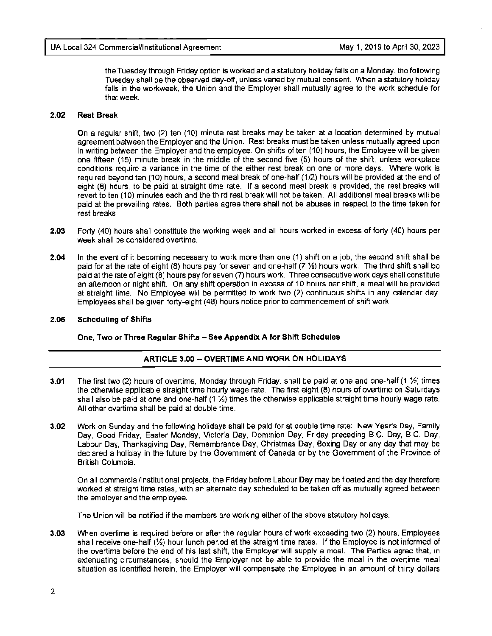the Tuesday through Friday option is worked and a statutory holiday falls on a Monday, the following Tuesday shall be the observed day-off, unless varied by mutual consent. When a statutory holiday falls in the workweek, the Union and the Employer shall mutually agree to the work schedule for that week.

#### **2.02 Rest Break**

On a regular shift, two (2) ten (10) minute rest breaks may be taken at a location determined by mutual agreement between the Employer and the Union. Rest breaks must be taken unless mutually agreed upon in writing between the Employer and the employee. On shifts often (10) hours, the Employee will be given one fifteen (15) minute break in the middle of the second five (5) hours of the shift, unless workplace conditions require a variance in the time of the either rest break on one or more days. Where work is required beyond ten (10) hours, a second meal break of one-half (1/2) hours will be provided at the end of eight (8) hours, to be paid at straight time rate. If a second meal break is provided, the rest breaks will revert to ten (10) minutes each and the third rest break will not be taken. All additional meal breaks will be paid at the prevailing rates. Both parties agree there shall not be abuses in respect to the time taken for rest breaks

- **2.03** Forty (40) hours shall constitute the working week and all hours worked in excess of forty (40) hours per week shall be considered overtime.
- **2.04** In the event of it becoming necessary to work more than one (1) shift on a job, the second shift shall be paid for at the rate of eight (8) hours pay for seven and one-half (7 ½) hours work. The third shift shall be paid at the rate of eight (8) hours pay for seven (7) hours work. Three consecutive work days shall constitute an afternoon or night shift. On any shift operation in excess of 10 hours per shift, a meal will be provided at straight time. No Employee will be permitted to work two (2) continuous shifts in any calendar day. Employees shall be given forty-eight (48) hours notice prior to commencement of shift work.

#### **2.05 Scheduling of Shifts**

**One, Two or Three Regular Shifts - See Appendix A for Shift Schedules** 

#### **ARTICLE 3.00 -- OVERTIME AND WORK ON HOLIDAYS**

- **3.01** The first two (2) hours of overtime, Monday through Friday, shall be paid at one and one-half (1 ½) times the otherwise applicable straight time hourly wage rate. The first eight (8) hours of overtime on Saturdays shall also be paid at one and one-half (1 ½) times the otherwise applicable straight time hourly wage rate. All other overtime shall be paid at double time.
- **3.02** Work on Sunday and the following holidays shall be paid for at double time rate: New Year's Day, Family Day, Good Friday, Easter Monday, Victoria Day, Dominion Day, Friday preceding B.C. Day, B.C. Day, Labour Day, Thanksgiving Day, Remembrance Day, Christmas Day, Boxing Day or any day that may be declared a holiday in the future by the Government of Canada or by the Government of the Province of British Columbia.

On all commercial/institutional projects, the Friday before Labour Day may be floated and the day therefore worked at straight time rates, with an alternate day scheduled to be taken off as mutually agreed between the employer and the employee.

The Union will be notified if the members are working either of the above statutory holidays.

**3.03** When overtime is required before or after the regular hours of work exceeding two (2) hours, Employees shall receive one-half (½) hour lunch period at the straight time rates. If the Employee is not informed of the overtime before the end of his last shift, the Employer will supply a meal. The Parties agree that, in extenuating circumstances, should the Employer not be able to provide the meal in the overtime meal situation as identified herein, the Employer will compensate the Employee in an amount of thirty dollars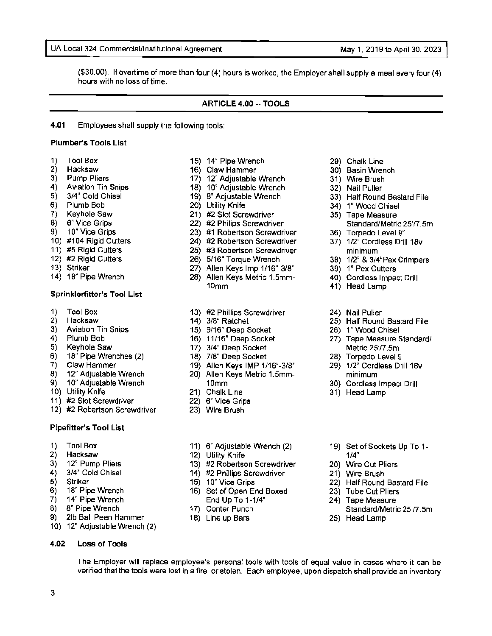#### UA Local 324 Commercial/Institutional Agreement May 1, 2019 to April 30, 2023

(\$30.00). If overtime of more than four (4) hours is worked, the Employer shall supply a meal every four (4) hours with no loss of time.

#### **ARTICLE 4.00 -- TOOLS**

**4.01** Employees shall supply the following tools:

#### **Plumber's Tools List**

- 
- 
- 
- 
- 
- 
- 
- 
- 
- 
- 
- 
- 
- 

#### **Sprinklerfitter's Tool List**

- 
- 
- 
- 
- 
- $\begin{array}{lll} 6) & 18^{\degree} \text{ Pipe Wrenches (2)} & & 18) & 7/8 \text{ "Deep Socket} & & 28) & \text{Torpedo Level 9} \\ 7) & \text{Claw Hammer} & & 19) & \text{Allen Kevs IMP 1/16"-3/8"} & & 29) & 1/2 \text{ "Cordless Dr.} \end{array}$
- 
- 
- 
- 
- 11) #2 Slot Screwdriver 22) 6" Vice Grips
- 12) #2 Robertson Screwdriver 23) Wire Brush

#### **Pipefitter's Tool List**

- 
- 
- 
- 
- 
- 
- 
- 
- 9) 21b Ball Peen Hammer
- 10} 12" Adjustable Wrench (2)

#### **4.02 Loss of Tools**

- 1) Tool Box 15) 14" Pipe Wrench 1999 Chalk Line<br>15) 14" Pipe Wrench 29 Chalk Line<br>2) Hacksaw 16) Claw Hammer 30) Basin Wren
	- 2) Hacksaw 16) Claw Hammer 30) Basin Wrench
- 3) Pump Pliers 17) 12" Adjustable Wrench 31) Wire Brush
- 4) Aviation Tin Snips 18) 10" Adjustable Wrench 5) 3/4" Cold Chisel 19) 310" Adjustable Wrench
	-
	-
- 6) Plumb Bob 20) Utility Knife 34) 1" Wood Chisel<br>21) Keyhole Saw 211 #2 Slot Screwdriver 35) Tape Measure
	-
	-
- 9) 10" Vice Grips 23) #1 Robertson Screwdriver 36) Torpedo Level 9" 24) #2 Robertson Screwdriver 37) 1/2" Cordless Drill 18v
- 10) #104 Rigid Cutters 24) #2 Robertson Screwdriver<br>11) #5 Rigid Cutters 25) #3 Robertson Screwdriver 25) #3 Robertson Screwdriver minimum
	-
- 12) #2 Rigid Cutters 26) 5/16" Torque Wrench 38) 1 /2" & 3/4"Pex Crimpers
- 13) Striker 27) Allen Keys Imp 1/16"-3/8" 39) 1" Pex Cutters 28) Allen Keys Metric 1.5mm- 40) Cordless Impact Drill
	- 10mm 41) Head Lamp
- 1) Tool Box 13) #2 Phillips Screwdriver 24) Nail Puller
	-
	-
- 3) Aviation Tin Snips 15) 9/16" Deep Socket 26<br>4) Plumb Bob 11/16" Deep Socket
	-
	-
	-
- 8) 12" Adjustable Wrench 20) Allen Keys Metric 1.5mm- minimum 9) 10" Adjustable Wrench 10mm 30) Cordless Impact Drill<br>10) Utility Knife **10mm** 31) Chalk Line 31, 31 Head Lamp
	- 21) Chalk Line 31) Head Lamp
	-
	-
- 1) Tool Box 11) 6" Adjustable Wrench (2) 19) Set of Sockets Up To 1-<br>
2) Hacksaw 12) Utility Knife 1/4" 1/4"
	-
- 2) Hacksaw 12) Utility Knife 12 (2) Utility Knife 1/4" 1/4"<br>12) 12" Pump Pliers 120 (20) 13) #2 Robertson Screwdriver 120 (20) Wire 3) 12" Pump Pliers (13) #2 Robertson Screwdriver (20) Wire Cut Pliers (3) 42 Robertson Screwdriver (20) Wire Brush (4)  $\overline{3}/4$ " Cold Chisel (14) #2 Phillips Screwdriver (21) Wire Brush
- 4) 3/4" Cold Chisel 14) #2 Phillips Screwdriver 21) Wire Brush<br>5) Striker 15 10" Vice Grips 22) Half Round
	-
- 5) Striker 15) 10" Vice Grips 22) Half Round Bastard File<br>
6) 18" Pipe Wrench 16) Set of Open End Boxed 23) Tube Cut Pliers 6) 18" Pipe Wrench 16) Set of Open End Boxed 7) 14" Pipe Wrench 23, 239 End Up To 1-1/4" 7) 14" Pipe Wrench End Up To 1-1/4" 24) Tape Measure<br>8) 8" Pipe Wrench 17) Center Punch Standard/Metri

The Employer will replace employee's personal tools with tools of equal value in cases where it can be verified that the tools were lost in a fire, or stolen. Each employee, upon dispatch shall provide an inventory

- 
- 18) Line up Bars 25) Head Lamp
- 
- 
- 
- 
- 5) 3/4" Cold Chisel 19) 8" Adjustable Wrench 33) Half Round Bastard File
	-
- 7) Keyhole Saw 21) #2 Slot Screwdriver 35) Tape Measure 8) 6" Vice Grips 20 and 22) #2 Philips Screwdriver Standard/Metric 25'/7.5m
	-
	-
	-
	-
	-
	-
	-
- 2) Hacksaw 14) 3/8" Ratchet 25) Half Round Bastard File 25 Half Round Bastard File<br>25) Aviation Tin Snips 25) 3/16" Deep Socket 26) 1" Wood Chisel
	-
- 4) Plumb Bob 16) 11/16" Deep Socket 27) Tape Measure Standard/<br>5) Keyhole Saw 17) 3/4" Deep Socket 16 Metric 25/7.5m 17) 3/4" Deep Socket Metric 25'/7.5m

Standard/Metric 25'/7.5m

- 
- 7) Claw Hammer 19) Allen **Keys IMP** 1/16'-3/8" 29) 1 /2" Cordless Drill 18v
	-
	-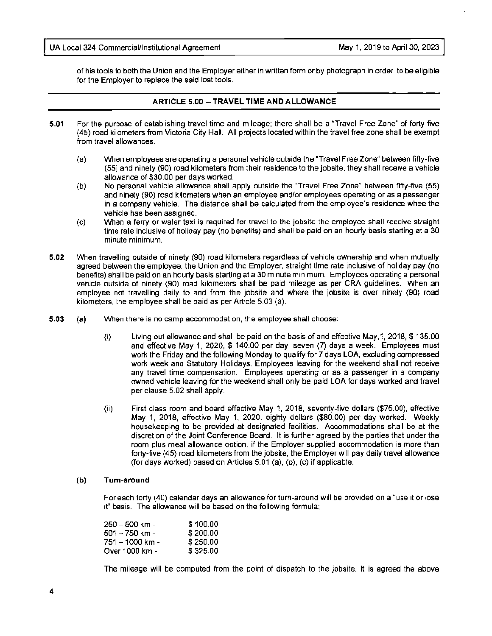of his tools to both the Union and the Employer either in written form or by photograph in order to be eligible for the Employer to replace the said lost tools.

#### **ARTICLE 5.00 --TRAVEL TIME AND ALLOWANCE**

- **5.01** For the purpose of establishing travel time and mileage; there shall be a "Travel Free Zone" of forty-five (45) road kilometers from Victoria City Hall. All projects located within the travel free zone shall be exempt from travel allowances.
	- (a) When employees are operating a personal vehicle outside the "Travel Free Zone" between fifty-five (55) and ninety (90) road kilometers from their residence to the jobsite, they shall receive a vehicle allowance of \$30.00 per days worked.
	- (b) No personal vehicle allowance shall apply outside the "Travel Free Zone" between fifty-five (55) and ninety (90) road kilometers when an employee and/or employees operating or as a passenger in a company vehicle. The distance shall be calculated from the employee's residence whee the vehicle has been assigned.
	- (c) When a ferry or water taxi is required for travel to the jobsite the employee shall receive straight time rate inclusive of holiday pay (no benefits) and shall be paid on an hourly basis starting at a 30 minute minimum.
- **5.02** When travelling outside of ninety (90) road kilometers regardless of vehicle ownership and when mutually agreed between the employee, the Union and the Employer, straight time rate inclusive of holiday pay (no benefits) shall be paid on an hourly basis starting at a 30 minute minimum. Employees operating a personal vehicle outside of ninety (90) road kilometers shall be paid mileage as per CRA guidelines. When an employee not travelling daily to and from the jobsite and where the jobsite is over ninety (90) road kilometers, the employee shall be paid as per Article 5.03 (a).
- **5.03 (a)** When there is no camp accommodation, the employee shall choose:
	- (i) Living out allowance and shall be paid on the basis of and effective May, 1, 2018, \$135.00 and effective May 1, 2020, \$ 140.00 per day, seven (7) days a week. Employees must work the Friday and the following Monday to qualify for 7 days LOA, excluding compressed work week and Statutory Holidays. Employees leaving for the weekend shall not receive any travel time compensation. Employees operating or as a passenger in a company owned vehicle leaving for the weekend shall only be paid LOA for days worked and travel per clause 5.02 shall apply.
	- (ii) First class room and board effective May 1, 2018, seventy-five dollars (\$75.00), effective May 1, 2018, effective May 1, 2020, eighty dollars (\$80.00) per day worked. Weekly housekeeping to be provided at designated facilities. Accommodations shall be at the discretion of the Joint Conference Board. It is further agreed by the parties that under the room plus meal allowance option, if the Employer supplied accommodation is more than forty-five (45) road kilometers from the jobsite, the Employer will pay daily travel allowance (for days worked) based on Articles 5.01 (a), (b), (c) if applicable.

#### **(b) Turn-around**

For each forty (40) calendar days an allowance for turn-around will be provided on a "use it or lose it" basis. The allowance will be based on the following formula;

| 250 – 500 km -  | \$100.00 |
|-----------------|----------|
| 501 – 750 km -  | \$200.00 |
| 751 – 1000 km - | \$250.00 |
| Over 1000 km -  | \$325.00 |

The mileage will be computed from the point of dispatch to the jobsite. It is agreed the above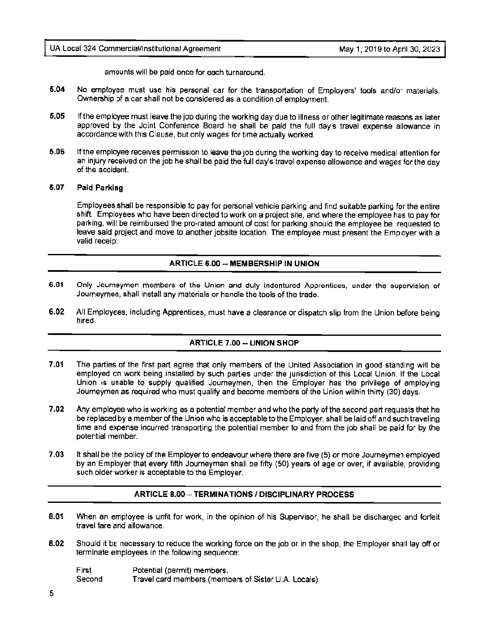amounts will be paid once for each turnaround.

- **5.04** No employee must use his personal car for the transportation of Employers' tools and/or materials. Ownership of a car shall not be considered as a condition of employment.
- **5.05** If the employee must leave the job during the working day due to illness or other legitimate reasons as later approved by the Joint Conference Board he shall be paid the full day's travel expense allowance in accordance with this Clause, but only wages for time actually worked.
- **5.06** If the employee receives permission to leave the job during the working day to receive medical attention for an injury received on the job he shall be paid the full day's travel expense allowance and wages for the day of the accident.

#### **5.07 Paid Parking**

Employees shall be responsible to pay for personal vehicle parking and find suitable parking for the entire shift Employees who have been directed to work on a project site, and where the employee has to pay for parking, will be reimbursed the pro-rated amount of cost for parking should the employee be requested to leave said project and move to another jobsite location. The employee must present the Employer with a valid receipt

#### **ARTICLE 6.00 -- MEMBERSHIP IN UNION**

- **6.01** Only Journeymen members of the Union and duly indentured Apprentices, under the supervision of Journeymen, shall install any materials or handle the tools of the trade.
- **6.02** All Employees, including Apprentices, must have a clearance or dispatch slip from the Union before being hired.

#### **ARTICLE 7.00 -- UNION SHOP**

- **7.01** The parties of the first part agree that only members of the United Association in good standing will be employed on work being installed by such parties under the jurisdiction of this Local Union. If the Local Union is unable to supply qualified Journeymen, then the Employer has the privilege of employing Journeymen as required who must qualify and become members of the Union within thirty (30) days.
- **7.02** Any employee who is working as a potential member and who the party of the second part requests that he be replaced by a member of the Union who is acceptable to the Employer, shall be laid off and such traveling time and expense incurred transporting the potential member to and from the job shall be paid for by the potential member.
- **7 .03** It shall be the policy of the Employer to endeavour where there are five (5) or more Journeymen employed by an Employer that every fifth Journeyman shall be fifty (50) years of age or over, if available, providing such older worker is acceptable to the Employer.

#### **ARTICLE 8.00 - TERMINATIONS/ DISCIPLINARY PROCESS**

- **8.01** When an employee is unfit for work, in the opinion of his Supervisor, he shall be discharged and forfeit travel fare and allowance.
- **8.02** Should it be necessary to reduce the working force on the job or in the shop, the Employer shall lay off or terminate employees in the following sequence:

| First  | Potential (permit) members.                         |
|--------|-----------------------------------------------------|
| Second | Travel card members (members of Sister U.A. Locals) |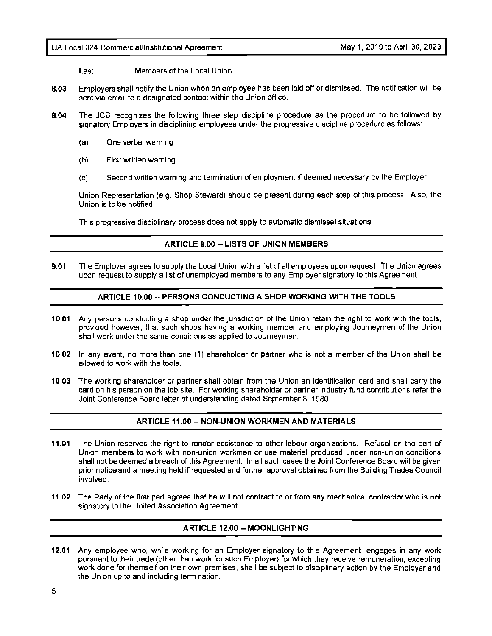Last Members of the Local Union.

- **8.03** Employers shall notify the Union when an employee has been laid off or dismissed. The notification will be sent via email to a designated contact within the Union office.
- **8.04** The JCB recognizes the following three step discipline procedure as the procedure to be followed by signatory Employers in disciplining employees under the progressive discipline procedure as follows;
	- (a) One verbal warning
	- (b) First written warning
	- (c) Second written warning and termination of employment if deemed necessary by the Employer

Union Representation (e.g. Shop Steward) should be present during each step of this process. Also, the Union is to be notified.

This progressive disciplinary process does not apply to automatic dismissal situations.

#### **ARTICLE 9.00 -- LISTS OF UNION MEMBERS**

**9.01** The Employer agrees to supply the Local Union with a list of all employees upon request The Union agrees upon request to supply a list of unemployed members to any Employer signatory to this Agreement

#### **ARTICLE 10.00 -- PERSONS CONDUCTING A SHOP WORKING W1TH THE TOOLS**

- **10.01** Any persons conducting a shop under the jurisdiction of the Union retain the right to work with the tools, provided however, that such shops having a working member and employing Journeymen of the Union shall work under the same conditions as applied to Journeymen.
- **10.02** In any event, no more than one (1) shareholder or partner who is not a member of the Union shall be allowed to work with the tools.
- **10.03** The working shareholder or partner shall obtain from the Union an identification card and shall carry the card on his person on the job site. For working shareholder or partner industry fund contributions refer the Joint Conference Board letter of understanding dated September 8, 1980.

#### **ARTICLE 11.00 -- NON-UNION WORKMEN AND MATERIALS**

- **11.01** The Union reserves the right to render assistance to other labour organizations. Refusal on the part of Union members to work with non-union workmen or use material produced under non-union conditions shall not be deemed a breach of this Agreement. In all such cases the Joint Conference Board will be given prior notice and a meeting held if requested and further approval obtained from the Building Trades Council involved.
- **11.02** The Party of the first part agrees that he will not contract to or from any mechanical contractor who is not signatory to the United Association Agreement.

#### **ARTICLE 12.00 -- MOONLIGHTING**

**12.01** Any employee who, while working for an Employer signatory to this Agreement, engages in any work pursuant to their trade (other than work for such Employer) for which they receive remuneration, excepting work done for themself on their own premises, shall be subject to disciplinary action by the Employer and the Union up to and including termination.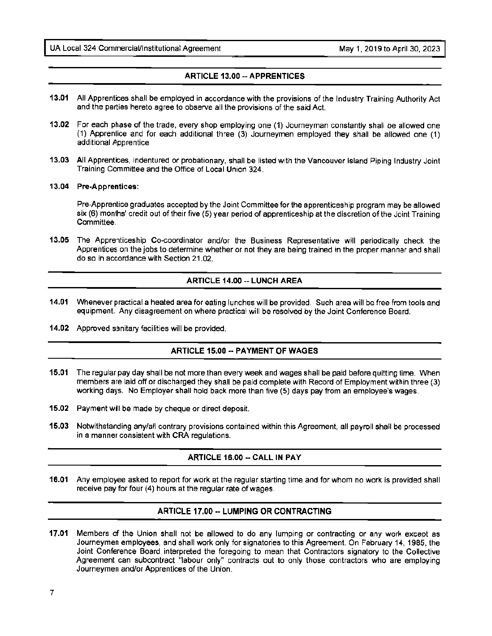#### **ARTICLE 13.00 --APPRENTICES**

- **13.01** All Apprentices shall be employed in accordance with the provisions of the Industry Training Authority Act and the parties hereto agree to observe all the provisions of the said Act.
- **13.02** For each phase of the trade, every shop employing one (1) Journeyman constantly shall be allowed one (1) Apprentice and for each additional three (3) Journeymen employed they shall be allowed one (1) additional Apprentice
- **13.03** All Apprentices, indentured or probationary, shall be listed with the Vancouver Island Piping Industry Joint Training Committee and the Office of Local Union 324.
- **13.04 Pre-Apprentices:**

Pre-Apprentice graduates accepted by the Joint Committee for the apprenticeship program may be allowed six (6) months' credit out of their five (5) year period of apprenticeship at the discretion of the Joint Training Committee

**13.05** The Apprenticeship Co-coordinator and/or the Business Representative will periodically check the Apprentices on the jobs to determine whether or not they are being trained in the proper manner and shall do so in accordance with Section 21.02.

#### **ARTICLE 14.00 -- LUNCH AREA**

- **14.01** Whenever practical a heated area for eating lunches will be provided. Such area will be free from tools and equipment. Any disagreement on where practical will be resolved by the Joint Conference Board.
- **14.02** Approved sanitary facilities will be provided.

#### **ARTICLE 15.00 -- PAYMENT OF WAGES**

- **15.01** The regular pay day shall be not more than every week and wages shall be paid before quitting time. When members are laid off or discharged they shall be paid complete with Record of Employment within three (3) working days. No Employer shall hold back more than five (5) days pay from an employee's wages.
- **15.02** Payment will be made by cheque or direct deposit.
- **15.03** Notwithstanding any/all contrary provisions contained within this Agreement, all payroll shall be processed in a manner consistent with CRA regulations.

#### **ARTICLE 16.00 -- CALL IN PAY**

**16.01** Any employee asked to report for work at the regular starting time and for whom no work is provided shall receive pay for four (4) hours at the regular rate of wages.

#### **ARTICLE 17.00 •• LUMPING OR CONTRACTING**

**17.01** Members of the Union shall not be allowed to do any lumping or contracting or any work except as Journeymen employees, and shall work only for signatories to this Agreement. On February 14, 1985, the Joint Conference Board interpreted the foregoing to mean that Contractors signatory to the Collective Agreement can subcontract "labour only" contracts out to only those contractors who are employing Journeymen and/or Apprentices of the Union.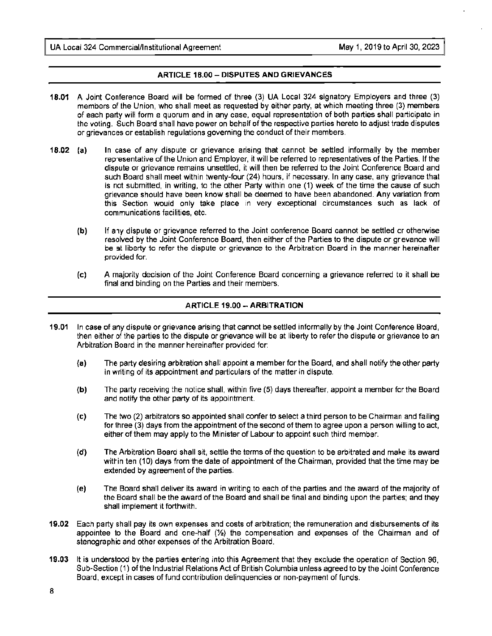#### **ARTICLE 18.00 - DISPUTES AND GRIEVANCES**

- **18.01 A** Joint Conference Board will be formed of three (3) LIA Local 324 signatory Employers and three (3) members of the Union, who shall meet as requested by either party, at which meeting three (3) members of each party will form a quorum and in any case, equal representation of both parties shall participate in the voting. Such Board shall have power on behalf of the respective parties hereto to adjust trade disputes or grievances or establish regulations governing the conduct of their members.
- **18.02 (a)** In case of any dispute or grievance arising that cannot be settled informally by the member representative of the Union and Employer, it will be referred to representatives of the Parties. If the dispute or grievance remains unsettled, it will then be referred to the Joint Conference Board and such Board shall meet within twenty-four (24) hours, if necessary. In any case, any grievance that is not submitted, in writing, to the other Party within one (1) week of the time the cause of such grievance should have been know shall be deemed to have been abandoned. Any variation from this Section would only take place in very exceptional circumstances such as lack of communications facilities, etc.
	- **(b)**  If any dispute or grievance referred to the Joint conference Board cannot be settled or otherwise resolved by the Joint Conference Board, then either of the Parties to the dispute or grievance will be at liberty to refer the dispute or grievance to the Arbitration Board in the manner hereinafter provided for.
	- (c) A majority decision of the Joint Conference Board concerning a grievance referred to it shall be final and binding on the Parties and their members.

#### **ARTICLE 19.00 -- ARBITRATION**

- **19.01** In case of any dispute or grievance arising that cannot be settled informally by the Joint Conference Board, then either of the parties to the dispute or grievance will be at liberty to refer the dispute or grievance to an Arbitration Board in the manner hereinafter provided for:
	- **(a)** The party desiring arbitration shall appoint a member for the Board, and shall notify the other party in writing of its appointment and particulars of the matter in dispute.
	- **(b)** The party receiving the notice shall, within five (5) days thereafter, appoint a member for the Board and notify the other party of its appointment.
	- (c) The two (2) arbitrators so appointed shall confer to select a third person to be Chairman and failing for three (3) days from the appointment of the second of them to agree upon a person willing to act, either of them may apply to the Minister of Labour to appoint such third member.
	- **(d)** The Arbitration Board shall sit, settle the terms of the question to be arbitrated and make its award within ten (10) days from the date of appointment of the Chairman, provided that the time may be extended by agreement of the parties.
	- **(e)** The Board shall deliver its award in writing to each of the parties and the award of the majority of the Board shall be the award of the Board and shall be final and binding upon the parties; and they shall implement it forthwith.
- **19.02** Each party shall pay its own expenses and costs of arbitration; the remuneration and disbursements of its appointee to the Board and one-half  $(\frac{1}{2})$  the compensation and expenses of the Chairman and of stenographic and other expenses of the Arbitration Board.
- **19.03** It is understood by the parties entering into this Agreement that they exclude the operation of Section 96, Sub-Section ( 1) of the Industrial Relations Act of British Columbia unless agreed to by the Joint Conference Board, except in cases of fund contribution delinquencies or non-payment of funds.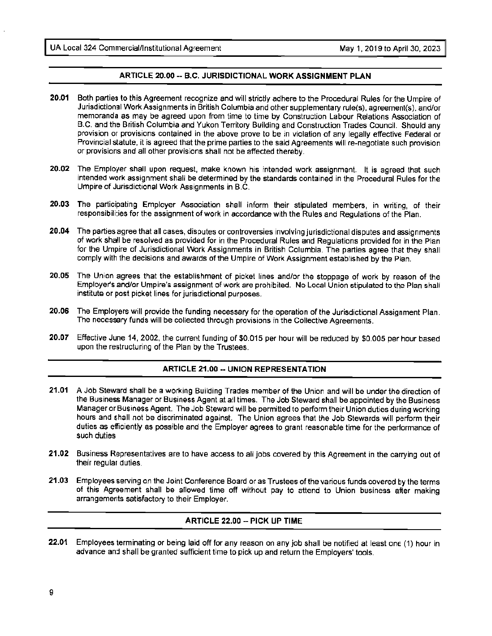#### **ARTICLE 20.00 -- B.C. JURISDICTIONAL WORK ASSIGNMENT PLAN**

- **20.01** Both parties to this Agreement recognize and will strictly adhere to the Procedural Rules for the Umpire of Jurisdictional Work Assignments in British Columbia and other supplementary rule{s), agreement(s). and/or memoranda as may be agreed upon from time to time by Construction Labour Relations Association of B.C. and the British Columbia and Yukon Territory Building and Construction Trades Council. Should any provision or provisions contained in the above prove to be in violation of any legally effective Federal or Provincial statute, it is agreed that the prime parties to the said Agreements will re-negotiate such provision or provisions and all other provisions shall not be affected thereby.
- **20.02** The Employer shall upon request, make known his intended work assignment. It is agreed that such intended work assignment shall be determined by the standards contained in the Procedural Rules for the Umpire of Jurisdictional Work Assignments in B.C.
- **20.03** The participating Employer Association shall inform their stipulated members, in writing, of their responsibilities for the assignment of work in accordance with the Rules and Regulations of the Plan.
- **20.04** The parties agree that all cases, disputes or controversies involving jurisdictional disputes and assignments of work shall be resolved as provided for in the Procedural Rules and Regulations provided for in the Plan for the Umpire of Jurisdictional Work Assignments in British Columbia. The parties agree that they shall comply with the decisions and awards of the Umpire of Work Assignment established by the Plan.
- **20.05** The Union agrees that the establishment of picket lines and/or the stoppage of work by reason of the Employer's and/or Umpire's assignment of work are prohibited. No Local Union stipulated to the Plan shall institute or post picket lines for jurisdictional purposes.
- **20.06** The Employers will provide the funding necessary for the operation of the Jurisdictional Assignment Plan. The necessary funds will be collected through provisions in the Collective Agreements.
- **20.07** Effective June 14, 2002, the current funding of \$0.015 per hour will be reduced by \$0.005 per hour based upon the restructuring of the Plan by the Trustees.

#### **ARTICLE 21.00 -- UNION REPRESENTATION**

- **21.01 A** Job Steward shall be a working Building Trades member of the Union and will be under the direction of the Business Manager or Business Agent at all times. The Job Steward shall be appointed by the Business Manager or Business Agent. The Job Steward will be permitted to perform their Union duties during working hours and shall not be discriminated against. The Union agrees that the Job Stewards will perform their duties as efficiently as possible and the Employer agrees to grant reasonable time for the performance of such duties.
- **21.02** Business Representatives are to have access to all jobs covered by this Agreement in the carrying out of their regular duties.
- **21.03** Employees serving on the Joint Conference Board or as Trustees of the various funds covered by the terms of this Agreement shall be allowed time off without pay to attend to Union business after making arrangements satisfactory to their Employer.

#### **ARTICLE 22.00 -- PICK UP TIME**

**22.01** Employees terminating or being laid off for any reason on any job shall be notified at least one (1) hour in advance and shall be granted sufficient time to pick up and return the Employers' tools.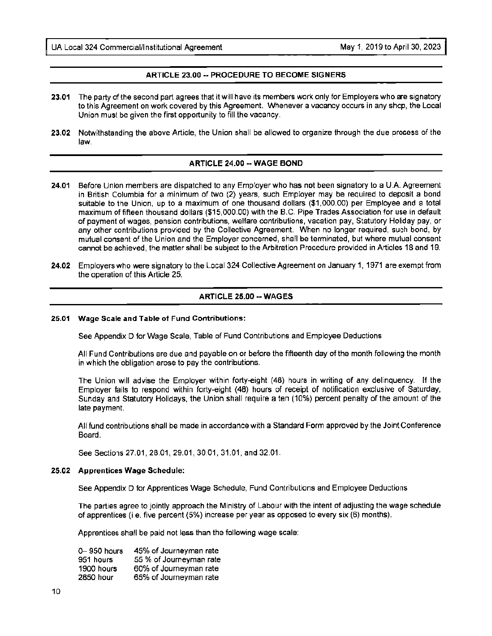#### **ARTICLE 23.00 -- PROCEDURE TO BECOME SIGNERS**

- **23.01** The party of the second part agrees that it will have its members work only for Employers who are signatory to this Agreement on work covered by this Agreement. Whenever a vacancy occurs in any shop, the Local Union must be given the first opportunity to fill the vacancy.
- **23.02** Notwithstanding the above Article, the Union shall be allowed to organize through the due process of the law.

#### **ARTICLE 24.00 -- WAGE BOND**

- **24.01** Before Union members are dispatched to any Employer who has not been signatory to a LIA Agreement in British Columbia for a minimum of two (2) years, such Employer may be required to deposit a bond suitable to the Union, up to a maximum of one thousand dollars (\$1,000.00) per Employee and a total maximum of fifteen thousand dollars (\$15,000.00) with the B.C. Pipe Trades Association for use in default of payment of wages, pension contributions, welfare contributions, vacation pay, Statutory Holiday pay, or any other contributions provided by the Collective Agreement. When no longer required, such bond, by mutual consent of the Union and the Employer concerned, shall be terminated, but where mutual consent cannot be achieved, the matter shall be subject to the Arbitration Procedure provided in Articles 18 and 19.
- **24.02** Employers who were signatory to the Local 324 Collective Agreement on January 1, 1971 are exempt from the operation of this Article 25.

#### **ARTICLE 25.00 -- WAGES**

#### **25.01 Wage Scale and Table of Fund Contributions:**

See Appendix D for Wage Scale, Table of Fund Contributions and Employee Deductions

All Fund Contributions are due and payable on or before the fifteenth day of the month following the month in which the obligation arose to pay the contributions.

The Union will advise the Employer within forty-eight (48) hours in writing of any delinquency. If the Employer fails to respond within forty-eight {48) hours of receipt of notification exclusive of Saturday, Sunday and Statutory Holidays, the Union shall require a ten (10%) percent penalty of the amount of the late payment.

AU fund contributions shall be made in accordance with a Standard Form approved by the Joint Conference Board.

See Sections 27.01, 28.01, 29.01, 30.01, 31.01, and 32.01 .

#### **25.02 Apprentices Wage Schedule:**

See Appendix D for Apprentices Wage Schedule, Fund Contributions and Employee Deductions

The parties agree to jointly approach the Ministry of Labour with the intent of adjusting the wage schedule of apprentices (i.e. five percent {5%) increase per year as opposed to every six (6) months).

Apprentices shall be paid not less than the following **wage** scale:

| $0 - 950$ hours | 45% of Journeyman rate  |
|-----------------|-------------------------|
| 951 hours       | 55 % of Journeyman rate |
| 1900 hours      | 60% of Journeyman rate  |
| 2850 hour       | 65% of Journeyman rate  |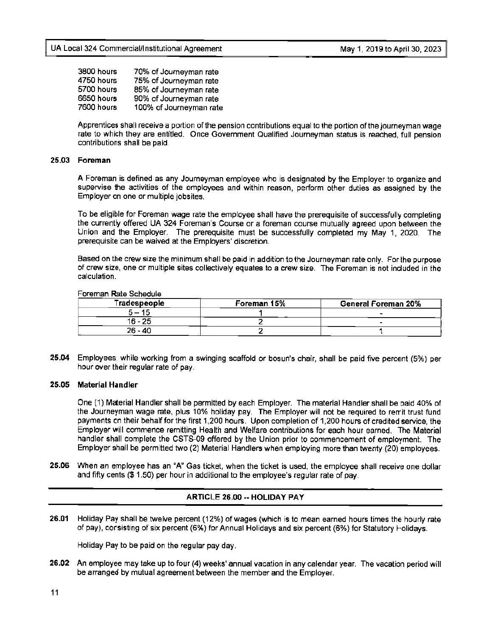| 3800 hours | 70% of Journeyman rate  |
|------------|-------------------------|
| 4750 hours | 75% of Journeyman rate  |
| 5700 hours | 85% of Journeyman rate  |
| 6650 hours | 90% of Journeyman rate  |
| 7600 hours | 100% of Journeyman rate |

Apprentices shall receive a portion of the pension contributions equal to the portion of the journeyman wage rate to which they are entitled. Once Government Qualified Journeyman status is reached, full pension contributions shall be paid.

#### **25.03 Foreman**

A Foreman is defined as any Journeyman employee who is designated by the Employer to organize and supervise the activities of the employees and within reason, perform other duties as assigned by the Employer on one or multiple jobsites.

To be eligible for Foreman wage rate the employee shall have the prerequisite of successfully completing the currently offered UA 324 Foreman's Course or a foreman course mutually agreed upon between the Union and the Employer. The prerequisite must be successfully completed my May 1, 2020. The prerequisite can be waived at the Employers' discretion.

Based on the crew size the minimum shall be paid in addition to the Journeyman rate only. For the purpose of crew size, one or multiple sites collectively equates to a crew size. The Foreman is not included in the calculation.

#### Foreman **R**ate Schedule

| Tradespeople | Foreman 15% | General Foreman 20% |
|--------------|-------------|---------------------|
| 5 – 15       |             |                     |
| 16 - 25      |             |                     |
| 26 - 40      |             |                     |

**25.04** Employees, while working from a swinging scaffold or bosun's chair, shall be paid five percent (5%) per hour over their regular rate of pay.

#### **25.05 Material Handler**

One (1) Material Handler shall be permitted by each Employer. The material Handler shall be paid 40% of the Journeyman wage rate, plus 10% holiday pay. The Employer will not be required to remit trust fund payments on their behalf for the first 1,200 hours. Upon completion of 1,200 hours of credited service, the Employer will commence remitting Health and Welfare contributions for each hour earned. The Material handler shall complete the CSTS-09 offered by the Union prior to commencement of employment. The Employer shall be permitted two (2) Material Handlers when employing more than twenty (20) employees.

**25.06** When an employee has an "A" Gas ticket, when the ticket is used, the employee shall receive one dollar and fifty cents(\$ 1.50) per hour in additional to the employee's regular rate of pay.

#### **ARTICLE 26.00 -- HOLIDAY PAY**

**26.01** Holiday Pay shall be twelve percent (12%) of wages (which is to mean earned hours times the hourly rate of pay), consisting of six percent (6%) for Annual Holidays and six percent (6%) for Statutory Holidays.

Holiday Pay to be paid on the regular pay day.

**26.02** An employee may take up to four (4) weeks' annual vacation in any calendar year. The vacation period will be arranged by mutual agreement between the member and the Employer.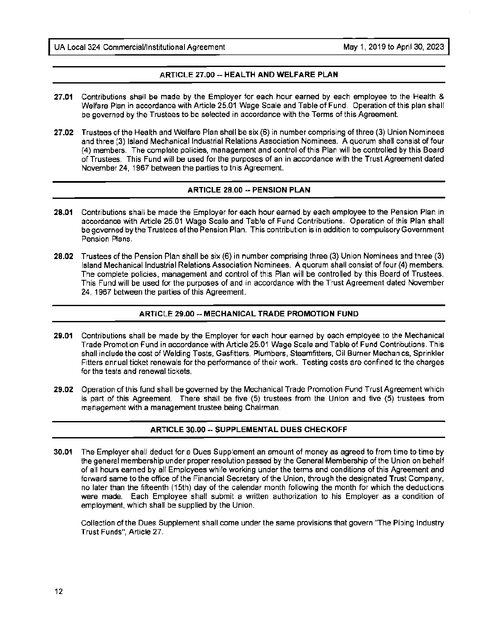#### **ARTICLE 27.00-- HEALTH AND WELFARE PLAN**

- **27.01** Contributions shall be made by the Employer for each hour earned by each employee to the Health & Welfare Plan in accordance with Article 25.01 Wage Scale and Table of Fund. Operation of this plan shall be governed by the Trustees to be selected in accordance with the Terms of this Agreement.
- **27.02** Trustees of the Health and Welfare Plan shall be six (6) in number comprising of three (3) Union Nominees and three {3) Island Mechanical Industrial Relations Association Nominees. A quorum shall consist of four **{4)** members. The complete policies, management and control of this Plan will be controlled by this Board of Trustees. This Fund will be used for the purposes of an in accordance with the Trust Agreement dated November 24, 1967 between the parties to this Agreement.

#### **ARTICLE 28.00 -- PENSION PLAN**

- **28.01** Contributions shall be made the Employer for each hour earned by each employee to the Pension Plan in accordance with Article 25.01 Wage Scale and Table of Fund Contributions. Operation of this Plan shall be governed by the Trustees of the Pension Plan. This contribution is in addition to compulsory Government Pension Plans.
- **28.02** Trustees of the Pension Plan shall be six (6) in number comprising three (3) Union Nominees and three (3) Island Mechanical Industrial Relations Association Nominees. A quorum shall consist of four (4) members. The complete policies, management and control of this Plan will be controlled by this Board of Trustees. This Fund will be used for the purposes of and in accordance with the Trust Agreement dated November 24, 1967 between the parties of this Agreement.

#### **ARTICLE 29.00 -- MECHANICAL TRADE PROMOTION FUND**

- **29.01** Contributions shall be made by the Employer for each hour earned by each employee to the Mechanical Trade Promotion Fund in accordance with Article 25.01 Wage Scale and Table of Fund Contributions. This shall include the cost of Welding Tests, Gasfitters, Plumbers, Steamfitters, Oil Burner Mechanics, Sprinkler Fitters annual ticket renewals for the performance of their work. Testing costs are confined to the charges for the tests and renewal tickets.
- **29.02** Operation of this fund shall be governed by the Mechanical Trade Promotion Fund Trust Agreement which is part of this Agreement. There shall be five {5) trustees from the Union and five (5) trustees from management with a management trustee being Chairman.

#### **ARTICLE 30.00 -- SUPPLEMENTAL DUES CHECKOFF**

**30.01** The Employer shall deduct for a Dues Supplement an amount of money as agreed to from time to time by the general membership under proper resolution passed by the General Membership of the Union on behalf of all hours earned by all Employees while working under the terms and conditions of this Agreement and forward same to the office of the Financial Secretary of the Union, through the designated Trust Company, no later than the fifteenth (15th) day of the calendar month following the month for which the deductions were made. Each Employee shall submit a written authorization to his Employer as a condition of employment, which shall be supplied by the Union.

Collection of the Dues Supplement shall come under the same provisions that govern "The Piping Industry Trust Funds", Article 27.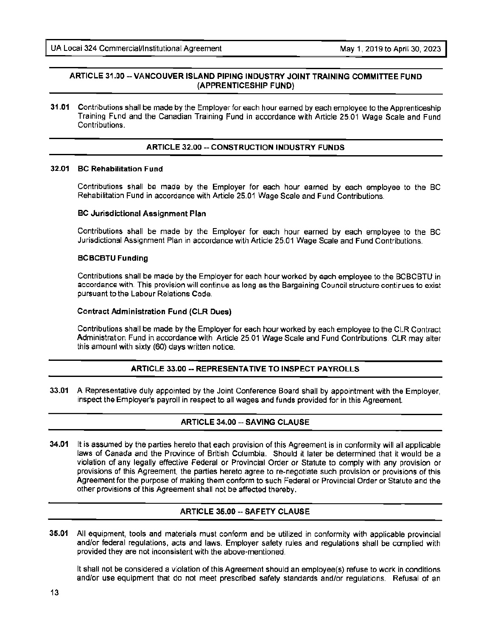#### **ARTICLE 31.00 -- VANCOUVER ISLAND PIPING INDUSTRY JOINT TRAINING COMMITTEE FUND (APPRENTICESHIP FUND)**

**31.01** Contributions shall be made by the Employer for each hour earned by each employee to the Apprenticeship Training Fund and the Canadian Training Fund in accordance with Article 25.01 Wage Scale and Fund Contributions.

#### **ARTICLE 32.00 -- CONSTRUCTION INDUSTRY FUNDS**

#### **32.01 BC Rehabilitation Fund**

Contributions shall be made by the Employer for each hour earned by each employee to the BC Rehabilitation Fund in accordance with Article 25.01 Wage Scale and Fund Contributions.

#### **BC Jurisdictional Assignment Plan**

Contributions shall be made by the Employer for each hour earned by each employee to the BC Jurisdictional Assignment Plan in accordance with Article 25.01 Wage Scale and Fund Contributions.

#### **BCBCBTU Funding**

Contributions shall be made by the Employer for each hour worked by each employee to the BCBCBTU in accordance with. This provision will continue as long as the Bargaining Council structure continues to exist pursuant to the Labour Relations Code.

#### **Contract Administration Fund (CLR Dues)**

Contributions shall be made by the Employer for each hour worked by each employee to the CLR Contract Administration Fund in accordance with Article 25.01 Wage Scale and Fund Contributions CLR may alter this amount with sixty (60) days written notice.

#### **ARTICLE 33.00 -- REPRESENTATIVE TO INSPECT PAYROLLS**

**33.01** A Representative duly appointed by the Joint Conference Board shall by appointment with the Employer, inspect the Employer's payroll in respect to all wages and funds provided for in this Agreement.

#### **ARTICLE 34.00--SAVING CLAUSE**

**34.01** It is assumed by the parties hereto that each provision of this Agreement is in conformity will all applicable laws of Canada and the Province of British Columbia. Should it later be determined that it would be a violation of any legally effective Federal or Provincial Order or Statute to comply with any provision or provisions of this Agreement, the parties hereto agree to re-negotiate such provision or provisions of this Agreement for the purpose of making them conform to such Federal or Provincial Order or Statute and the other provisions of this Agreement shall not be affected thereby.

#### **ARTICLE 35.00 -- SAFETY CLAUSE**

**35.01** All equipment, tools and materials must conform and be utilized in conformity with applicable provincial and/or federal regulations, acts and laws. Employer safety rules and regulations shall be complied with provided they are not inconsistent with the above-mentioned.

It shall not be considered a violation of this Agreement should an employee(s) refuse to work in conditions and/or use equipment that do not meet prescribed safety standards and/or regulations. Refusal of an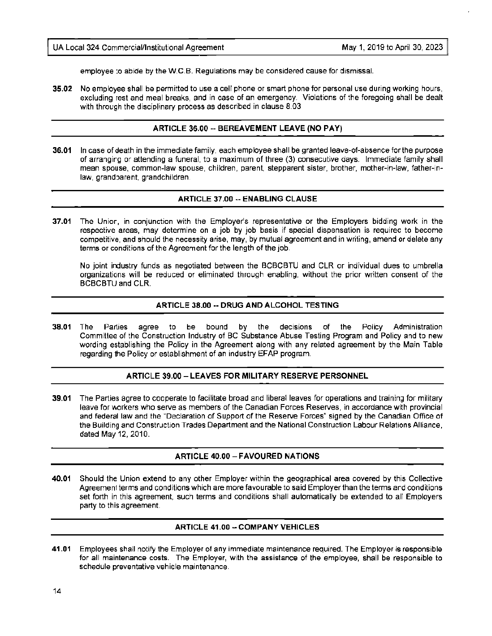employee to abide by the W.C.B. Regulations may be considered cause for dismissal.

**35.02** No employee shall be permitted to use a cell phone or smart phone for personal use during working hours, excluding rest and meal breaks, and in case of an emergency. Violations of the foregoing shall be dealt with through the disciplinary process as described in clause 8.03

#### **ARTICLE 36.00** -- **BEREAVEMENT LEAVE (NO PAY)**

**36.01** In case of death in the immediate family, each employee shall be granted leave-of-absence for the purpose of arranging or attending a funeral, to a maximum of three (3) consecutive days. Immediate family shall mean spouse, common-law spouse, children, parent, stepparent sister, brother, mother-in-law, father-inlaw, grandparent. grandchildren.

#### **ARTICLE 37.00** -- **ENABLING CLAUSE**

**37.01** The Union, in conjunction with the Employer's representative or the Employers bidding work in the respective areas, may determine on a job by job basis if special dispensation is required to become competitive, and should the necessity arise, may, by mutual agreement and in writing, amend or delete any terms or conditions of the Agreement for the length of the job.

No joint industry funds as negotiated between the BCBCBTU and CLR or individual dues to umbrella organizations will be reduced or eliminated through enabling, without the prior written consent of the BCBCBTU and CLR.

#### **ARTICLE 38.00** -- **DRUG AND ALCOHOL TESTING**

**38.01** The Parties agree to be bound by the decisions of the Policy Administration Committee of the Construction Industry of BC Substance Abuse Testing Program and Policy and to new wording establishing the Policy in the Agreement along with any related agreement by the Main Table regarding the Policy or establishment of an industry EFAP program.

#### **ARTICLE 39.00- LEAVES FOR MILITARY RESERVE PERSONNEL**

**39.01** The Parties agree to cooperate to facilitate broad and liberal leaves for operations and training for military leave for workers who serve as members of the Canadian Forces Reserves, in accordance with provincial and federal law and the "Declaration of Support of the Reserve Forces" signed by the Canadian Office of the Building and Construction Trades Department and the National Construction Labour Relations Alliance. dated May 12, 2010.

#### **ARTICLE 40.00- FAVOURED NATIONS**

**40.01** Should the Union extend to any other Employer within the geographical area covered by this Collective Agreement terms and conditions which are more favourable to said Employer than the terms and conditions set forth in this agreement, such terms and conditions shall automatically be extended to all Employers party to this agreement.

#### **ARTICLE 41.00** - **COMPANY VEHICLES**

**41.01** Employees shall notify the Employer of any immediate maintenance required. The Employer is responsible for all maintenance costs. The Employer, with the assistance of the employee, shall be responsible to schedule preventative vehicle maintenance.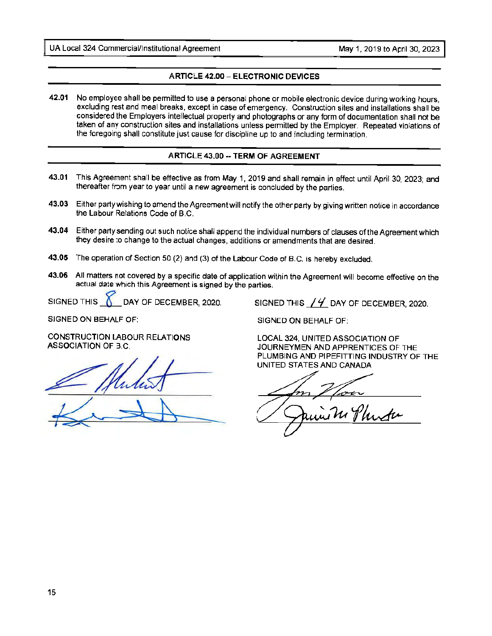#### **ARTICLE 42.00 - ELECTRONIC DEVICES**

**42.01** No employee shall be permitted to use a personal phone or mobile electronic device during working hours, excluding rest and meal breaks, except in case of emergency. Construction sites and installations shall be considered the Employers intellectual property and photographs or any form of documentation shall not be taken of any construction sites and installations unless permitted by the Employer. Repeated violations of the foregoing shall constitute just cause for discipline up to and including termination.

#### **ARTICLE 43.00 -- TERM OF AGREEMENT**

- **43.01** This Agreement shall be effective as from May 1, 2019 and shall remain in effect until April 30, 2023; and thereafter from year to year until a new agreement is concluded by the parties.
- **43.03** Either party wishing to amend the Agreement will notify the other party by giving written notice in accordance the Labour Relations Code of B.C.
- **43.04** Either party sending out such notice shall append the individual numbers of clauses of the Agreement which they desire to change to the actual changes, additions or amendments that are desired.
- **43.05** The operation of Section 50 (2) and (3) of the Labour Code of B.C. is hereby excluded.
- **43.06** All matters not covered by a specific date of application within the Agreement will become effective on the actual date which this Agreement is signed by the parties.

SIGNED THIS  $\sum$  DAY OF DECEMBER, 2020. SIGNED THIS  $14$  DAY OF DECEMBER, 2020.

SIGNED ON BEHALF OF:

CONSTRUCTION LABOUR RELATIONS ASSOCIATION OF B.C.

 $\blacktriangleright$ 

SIGNED ON BEHALF OF:

LOCAL 324, UNITED ASSOCIATION OF JOURNEYMEN AND APPRENTICES OF THE PLUMBING AND PIPEFITTING INDUSTRY OF THE UNITED STATES AND CANADA

f}~ 'Ju 'f *lwdt,.-*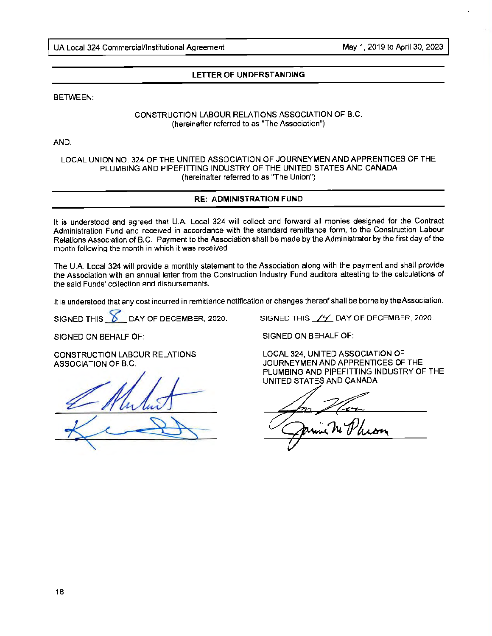#### **LETTER OF UNDERSTANDING**

BETWEEN:

#### CONSTRUCTION LABOUR RELATIONS ASSOCIATION OF B.C. (hereinafter referred to as "The Association")

AND:

#### LOCAL UNION NO. 324 OF THE UNITED ASSOCIATION OF JOURNEYMEN AND APPRENTICES OF THE PLUMBING AND PIPEFITTING INDUSTRY OF THE UNITED STATES AND CANADA (hereinafter referred to as "The Union"}

#### **RE: ADMINISTRATION FUND**

It is understood and agreed that U.A. Local 324 will collect and forward all monies designed for the Contract Administration Fund and received in accordance with the standard remittance form, to the Construction Labour Relations Association of B.C. Payment to the Association shall be made by the Administrator by the first day of the month following the month in which it was received.

The U.A. Local 324 will provide a monthly statement to the Association along with the payment and shall provide the Association with an annual letter from the Construction Industry Fund auditors attesting to the calculations of the said Funds' collection and disbursements.

lt is understood that any cost incurred in remittance notification or changes thereof shall be borne by the Association.

SIGNED THIS  $\delta$  DAY OF DECEMBER, 2020. SIGNED THIS  $\frac{1}{2}$  DAY OF DECEMBER, 2020.

SIGNED ON BEHALF OF:

CONSTRUCTION LABOUR RELATIONS ASSOCIATION OF B.C.

 $K$  Mulut

SIGNED ON BEHALF OF:

LOCAL 324, UNITED ASSOCIATION OF JOURNEYMEN AND APPRENTICES OF THE PLUMBING AND PIPEFITTING INDUSTRY OF THE UNITED STATES AND CANADA

<u>In Hou</u>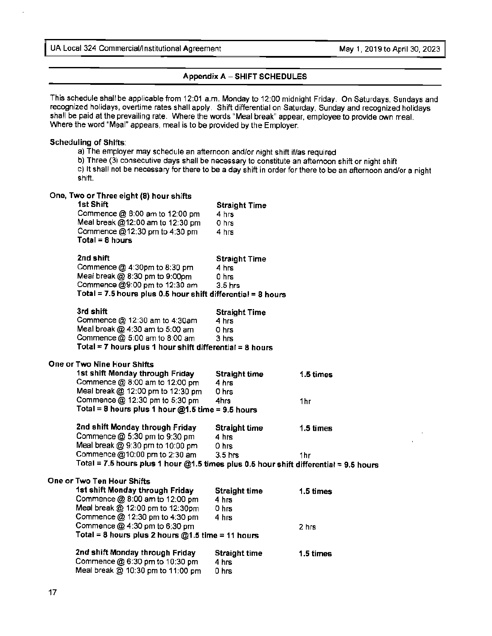#### **Appendix A** - **SHIFT SCHEDULES**

This schedule shall be applicable from 12:01 a.m. Monday to 12:00 midnight Friday. On Saturdays, Sundays and recognized holidays, overtime rates shall apply. Shift differential on Saturday, Sunday and recognized holidays shall be paid at the prevailing rate. Where the words "Meal break" appear, employee to provide own meal. Where the word "Meal" appears, meal is to be provided by the Employer.

#### **Scheduling of Shifts:**

- a) The employer may schedule an afternoon and/or night shift if/as required
- b) Three (3) consecutive days shall be necessary to constitute an afternoon shift or night shift

c) It shall not be necessary for there to be a day shift in order for there to be an afternoon and/or a night shift.

#### **One, Two or Three eight (8) hour shifts Straight Time** Commence  $@8:00$  am to 12:00 pm  $4 \text{ hrs}$ Meal break @12:00 am to 12:30 pm Commence @12:30 pm to 4:30 pm **Total= 8 hours**  o hrs 4 hrs **2nd shift Straight Time 3.1 Straight Time 3.1 Straight Time 3.1 Straight Time 3.1 Straight Time 3.1 Straight Time 3.1 Straight Time 3.1 Straight Time 3.1 Straight Time 3.1 Straight Time 3.1 Straight Time 3.1 Straight Time** Commence  $@4:30 \text{pm}$  to 8:30 pm  $4 \text{hrs}$ Meal break  $@30$  pm to  $9:00$ pm  $0$  hrs Commence @9:00 pm to 12:30 am 3.5 hrs **Total** = **7.5 hours plus 0.5 hour shift differential** = **8 hours 3rd shift Straight Time 3rd shift Straight Time 3rd shift Straight Time 3rd shift Straight Time 3rd shift Straight Time 3rd shift Straight Time 3rd shift Straight Time 3rd shift Straight Time 3rd shift Straight Time 3rd s** Commence  $@$  12:30 am to 4:30am 4 hrs Meal break  $@.4:30$  am to 5:00 am O hrs Commence  $@$  5:00 am to 8:00 am  $3$  hrs **Total** = **7 hours plus 1 hour shift differential= 8 hours One or Two Nine Hour Shifts 1st shift Monday through Friday Straight time**  Commence  $@$  8:00 am to 12:00 pm  $4 \text{ hrs}$ **1.5times** Meal break @ 12:00 pm to 12:30 pm 0 hrs Commence  $@$  12:30 pm to 5:30 pm  $4 \text{ hrs}$  1hr **Total= 8 hours plus 1 hour@1.5 time= 9.5 hours 2nd shift Monday through Friday Straight time 1.5 times**  Commence  $@$  5:30 pm to 9:30 pm  $4 \; \text{hrs}$ Meal break  $@9:30$  pm to 10:00 pm  $@9:30$ Commence  $@10:00$  pm to  $2:30$  am  $3.5$  hrs 1hr **Total= 7.5 hours plus 1 hour@1.5 times plus 0.5 hour shift differential= 9.5 hours One or Two Ten Hour Shifts 1st shift Monday through Friday**  Commence@ 8:00 am to 12:00 pm Meal break@ 12:00 pm to 12:30pm Commence@ 12:30 pm to 4:30 pm Commence @4:30 pm to 6:30 pm **Straight time**  4 hrs 0 hrs 4 hrs **Total= 8 hours plus 2 hours@1.5 time= 11 hours 2nd shift Monday through Friday**  Commence@ 6:30 pm to 10:30 pm Meal break@ 10:30 pm to 11 :00 pm **Straight time**  4 hrs 0 hrs 1.5 times 2 hrs 1.5 times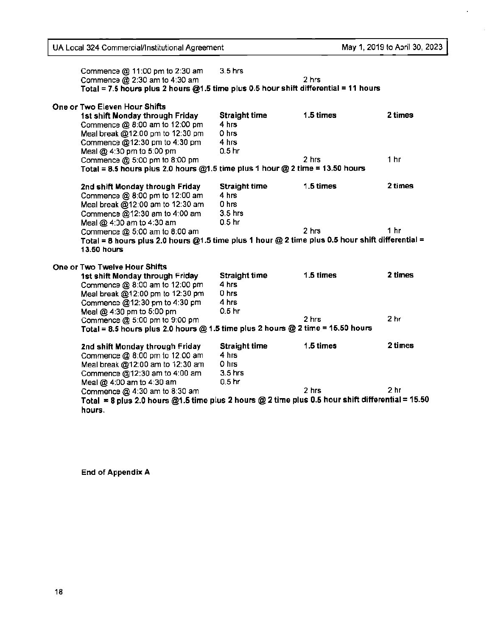$\hat{\mathbf{r}}$ 

 $\frac{1}{2}$ 

| Commence $@11:00$ pm to 2:30 am                                                                   | $3.5$ hrs            |           |                 |
|---------------------------------------------------------------------------------------------------|----------------------|-----------|-----------------|
| Commence @ 2:30 am to 4:30 am                                                                     |                      | 2 hrs     |                 |
| Total = 7.5 hours plus 2 hours @1.5 time plus 0.5 hour shift differential = 11 hours              |                      |           |                 |
| One or Two Eleven Hour Shifts                                                                     |                      |           |                 |
| 1st shift Monday through Friday                                                                   | <b>Straight time</b> | 1.5 times | 2 times         |
| Commence @ 8:00 am to 12:00 pm                                                                    | 4 hrs                |           |                 |
| Meal break @12:00 pm to 12:30 pm                                                                  | 0 hrs                |           |                 |
| Commence @12:30 pm to 4:30 pm                                                                     | 4 hrs                |           |                 |
| Meal @ 4:30 pm to 5:00 pm                                                                         | 0.5 <sub>hr</sub>    |           |                 |
| Commence @ 5:00 pm to 8:00 pm                                                                     |                      | 2 hrs     | 1 <sub>hr</sub> |
| Total = 8.5 hours plus 2.0 hours $@1.5$ time plus 1 hour $@2$ time = 13.50 hours                  |                      |           |                 |
| 2nd shift Monday through Friday                                                                   | <b>Straight time</b> | 1.5 times | 2 times         |
| Commence @ 8:00 pm to 12:00 am                                                                    | 4 hrs                |           |                 |
| Meal break @12:00 am to 12:30 am                                                                  | 0 <sub>hrs</sub>     |           |                 |
| Commence @12:30 am to 4:00 am                                                                     | $3.5$ hrs            |           |                 |
| Meal @ 4:00 am to 4:30 am                                                                         | 0.5 <sub>hr</sub>    |           |                 |
| Commence @ 5:00 am to 8:00 am                                                                     |                      | 2 hrs     | 1 <sub>hr</sub> |
| Total = 8 hours plus 2.0 hours @1.5 time plus 1 hour @ 2 time plus 0.5 hour shift differential =  |                      |           |                 |
| <b>13.50 hours</b>                                                                                |                      |           |                 |
| One or Two Twelve Hour Shifts                                                                     |                      |           |                 |
| 1st shift Monday through Friday                                                                   | <b>Straight time</b> | 1.5 times | 2 times         |
| Commence @ 8:00 am to 12:00 pm                                                                    | 4 hrs                |           |                 |
| Meal break @12:00 pm to 12:30 pm                                                                  | 0 hrs                |           |                 |
| Commence @12:30 pm to 4:30 pm                                                                     | 4 hrs                |           |                 |
| Meal @ 4:30 pm to 5:00 pm                                                                         | 0.5 <sub>hr</sub>    |           |                 |
| Commence @ 5:00 pm to 9:00 pm                                                                     |                      | 2 hrs     | 2 <sub>hr</sub> |
| Total = 8.5 hours plus 2.0 hours $@$ 1.5 time plus 2 hours $@$ 2 time = 15.50 hours               |                      |           |                 |
| 2nd shift Monday through Friday                                                                   | <b>Straight time</b> | 1.5 times | 2 times         |
|                                                                                                   | 4 hrs                |           |                 |
| Commence @ 8:00 pm to 12:00 am                                                                    |                      |           |                 |
| Meal break @12:00 am to 12:30 am                                                                  | 0 hrs                |           |                 |
| Commence @12:30 am to 4:00 am                                                                     | $3.5$ hrs            |           |                 |
| Meal @ 4:00 am to 4:30 am                                                                         | 0.5 <sub>hr</sub>    |           |                 |
| Commence @ 4:30 am to 8:30 am                                                                     |                      | 2 hrs     | 2 <sub>hr</sub> |
| Total = 8 plus 2.0 hours @1.5 time plus 2 hours @ 2 time plus 0.5 hour shift differential = 15.50 |                      |           |                 |

End of **Appendix A**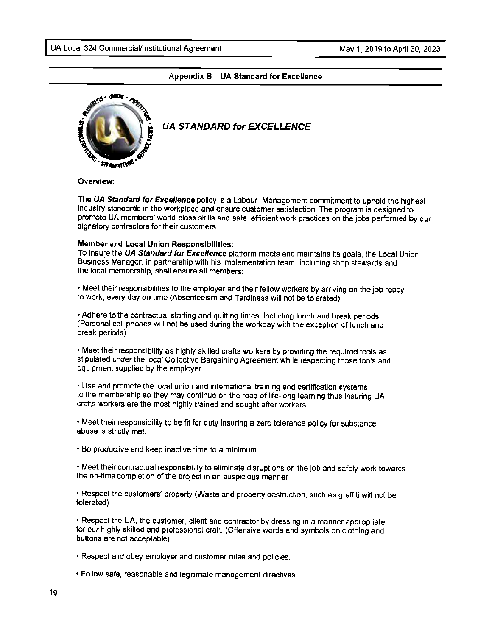#### **Appendix B** - **UA Standard for Excellence**



#### . **UA STANDARD for EXCELLENCE**

**Overview:** 

The **UA Standard for Excellence** policy is a Labour- Management commitment to uphold the highest industry standards in the workplace and ensure customer satisfaction. The program is designed to promote UA members' world-class skills and safe, efficient work practices on the jobs performed by our signatory contractors for their customers.

#### **Member and Local Union Responsibilities:**

To insure the **UA Standard for Excellence** platform meets and maintains its goals, the Local Union Business Manager, in partnership with his implementation team, including shop stewards and the local membership, shall ensure all members:

• Meet their responsibilities to the employer and their fellow workers by arriving on the job ready to work, every day on time {Absenteeism and Tardiness will not be tolerated).

• Adhere to the contractual starting and quitting times, including lunch and break periods (Personal cell phones will not be used during the workday with the exception of lunch and break periods).

• Meet their responsibility as highly skilled crafts workers by providing the required tools as stipulated under the local Collective Bargaining Agreement while respecting those tools and equipment supplied by the employer.

• Use and promote the local union and international training and certification systems to the membership so they may continue on the road of life-long learning thus insuring UA crafts workers are the most highly trained and sought after workers.

• Meet their responsibility to be fit for duty insuring a zero tolerance policy for substance abuse is strictly met.

• Be productive and keep inactive time to a minimum.

• Meet their contractual responsibility to eliminate disruptions on the job and safely work towards the on-time completion of the project in an auspicious manner.

• Respect the customers' property (Waste and property destruction, such as graffiti will not be tolerated).

• Respect the UA, the customer, client and contractor by dressing in a manner appropriate for our highly skilled and professional craft. {Offensive words and symbols on clothing and buttons are not acceptable).

• Respect and obey employer and customer rules and policies.

• Follow safe, reasonable and legitimate management directives.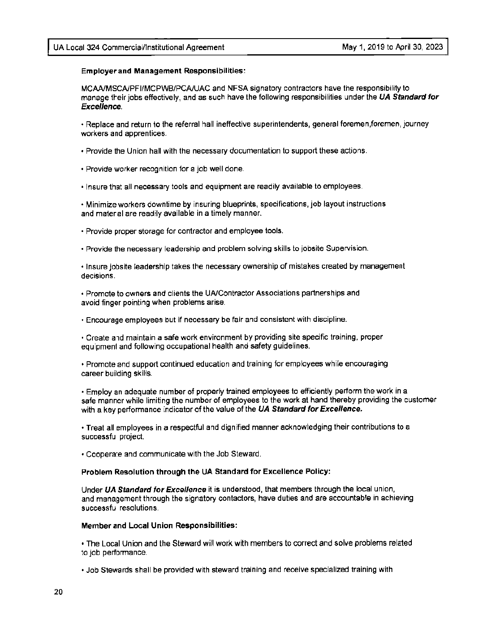#### **Employer and Management Responsibilities:**

MCAA/MSCA/PFI/MCPWB/PCA/UAC and NFSA signatory contractors have the responsibility to manage their jobs effectively, and as such have the following responsibilities under the **UA Standard for Excellence.** 

• Replace and return to the referral hall ineffective superintendents, general foremen.foremen, journey workers and apprentices.

- Provide the Union hall with the necessary documentation to support these actions.
- Provide worker recognition for a job well done.

• Insure that all necessary tools and equipment are readily available to employees.

• Minimize workers downtime by insuring blueprints, specifications, job layout instructions and material are readily available in a timely manner.

- Provide proper storage for contractor and employee tools.
- Provide the necessary leadership and problem solving skills to jobsite Supervision.

• Insure jobsite leadership takes the necessary ownership of mistakes created by management decisions.

• Promote to owners and clients the LIA/Contractor Associations partnerships and avoid finger pointing when problems arise.

• Encourage employees but if necessary be fair and consistent with discipline.

• Create and maintain a safe work environment by providing site specific training, proper equipment and following occupational health and safety guidelines.

• Promote and support continued education and training for employees while encouraging career building skills.

• Employ an adequate number of properly trained employees to efficiently perform the work in a safe manner while limiting the number of employees to the work at hand thereby providing the customer with a key performance indicator of the value of the **UA Standard for Excellence.** 

• Treat all employees in a respectful and dignified manner acknowledging their contributions to a successful project.

• Cooperate and communicate with the Job Steward.

#### **Problem Resolution through the UA Standard for Excellence Policy:**

Under **UA Standard for Excellence** it is understood, that members through the local union, and management through the signatory contactors, have duties and are accountable in achieving successful resolutions.

#### **Member and Local Union Responsibilities:**

• The Local Union and the Steward will work with members to correct and solve problems related to job performance.

• Job Stewards shall be provided with steward training and receive specialized training with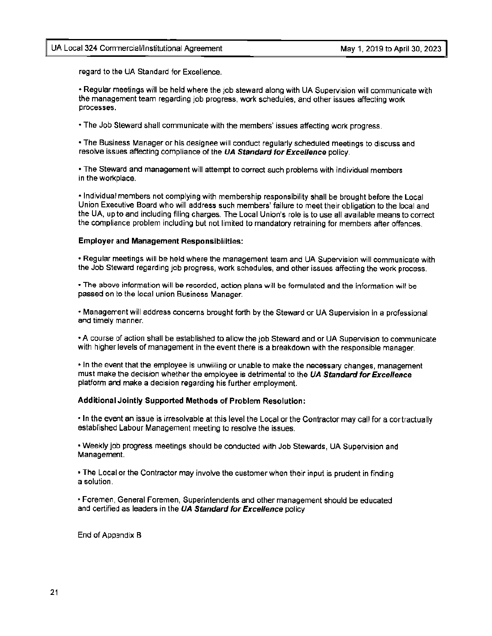regard to the UA Standard for Excellence.

• Regular meetings will be held where the job steward along with UA Supervision will communicate with the management team regarding job progress, work schedules, and other issues affecting work processes.

• The Job Steward shall communicate with the members' issues affecting work progress.

• The Business Manager or his designee will conduct regularly scheduled meetings to discuss and resolve issues affecting compliance of the **UA Standard for Excellence** policy.

• The Steward and management will attempt to correct such problems with individual members in the workplace.

• Individual members not complying with membership responsibtlity shall be brought before the Local Union Executive Board who will address such members' failure to meet their obligation to the local and the UA, up to and including filing charges. The Local Union's role is to use all available means to correct the compliance problem including but not limited to mandatory retraining for members after offences.

#### **Employer and Management Responsibilities:**

• Regular meetings will be held where the management team and UA Supervision will communicate with the Job Steward regarding job progress, work schedules, and other issues affecting the work process.

• The above information will be recorded, action plans will be formulated and the information will be passed on to the local union Business Manager.

• Management will address concerns brought forth by the Steward or UA Supervision in a professional and timely manner.

• A course of action shall be established to allow the job Steward and or UA Supervision to communicate with higher levels of management in the event there **is a** breakdown with the responsible manager.

• In the event that the employee is unwilling or unable to make the necessary changes, management must make the decision whether the employee is detrimental to the **UA Standard for Excellence**  platform and make a decision regarding his further employment.

#### **Additional Jointly Supported Methods of Problem Resolution:**

• In the event an issue is irresolvable at this level the Local or the Contractor may call for a contractually established Labour Management meeting to resolve the issues.

• Weekly job progress meetings should be conducted with Job Stewards, UA Supervision and Management.

• The Local or the Contractor may involve the customer when their input is prudent in finding a solution.

• Foremen, General Foremen, Superintendents and other management should be educated and certified as leaders in the **UA Standard for Excellence** policy

End of Appendix B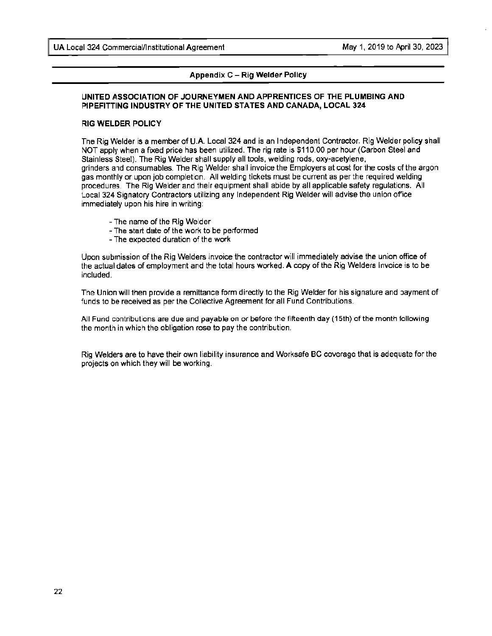#### **Appendix C - Rig Welder Policy**

#### **UNITED ASSOCIATION OF JOURNEYMEN AND APPRENTICES OF THE PLUMBING AND f>IPEFITTING INDUSTRY OF THE UNITED STATES AND CANADA, LOCAL 324**

#### **RIG WELDER POLICY**

The Rig Welder is a member of U.A. Local 324 and is an Independent Contractor. Rig Welder policy shall NOT apply when a fixed price has been utilized. The rig rate is \$110.00 per hour (Carbon Steel and Stainless Steel). The Rig Welder shall supply all tools, welding rods, oxy-acetylene, grinders and consumables. The Rig Welder shall invoice the Employers at cost for the costs of the argon gas monthly or upon job completion. All welding tickets must be current as per the required welding procedures. The Rig Welder and their equipment shall abide by all applicable safety regulations. All Local 324 Signatory Contractors utilizing any Independent Rig Welder will advise the union office immediately upon his hire in writing:

- The name of the Rig Welder
- The start date of the work to be performed
- The expected duration of the work

Upon submission of the Rig Welders invoice the contractor will immediately advise the union office of the actual dates of employment and the total hours worked. A copy of the Rig Welders Invoice is to be included.

The Union will then provide a remittance form directly to the Rig Welder for his signature and payment of funds to be received as per the Collective Agreement for all Fund Contributions.

All Fund contributions are due and payable on or before the fifteenth day (15th) of the month following the month in which the obligation rose to pay the contribution.

Rig Welders are to have their own liability insurance and Worksafe BC coverage that is adequate for the projects on which they will be working.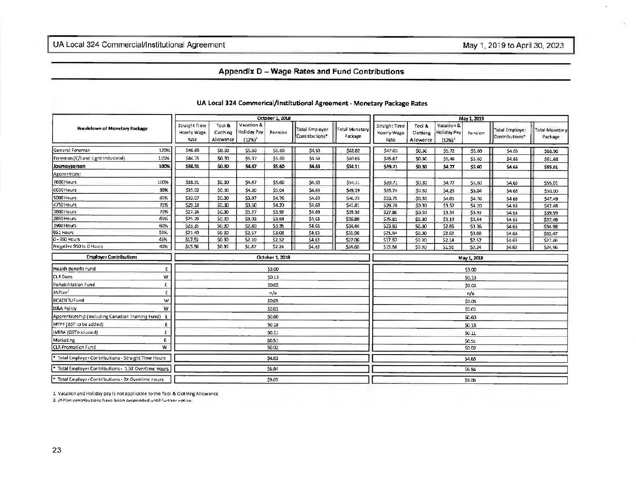#### Appendix D - Wage Rates and Fund Contributions

| Breakdown of Monetary Package                        |      |                                      |                                 |                                         | October 1, 2018 |                                         |                           |                                      | May 1, 2019                     |                                               |         |                                         |                                  |  |  |
|------------------------------------------------------|------|--------------------------------------|---------------------------------|-----------------------------------------|-----------------|-----------------------------------------|---------------------------|--------------------------------------|---------------------------------|-----------------------------------------------|---------|-----------------------------------------|----------------------------------|--|--|
|                                                      |      | Straight Time<br>Hourly Wage<br>Rate | Tool &<br>Clothing<br>Allowance | Vacation &<br>Holiday Pay<br>$(12\%)^1$ | Pension         | <b>Total Employer</b><br>Contributions* | Total Monetary<br>Package | Straight Time<br>Hourly Wage<br>Rate | Tool &<br>Clothing<br>Allowance | Vacation &<br><b>Holiday Pay</b><br>$(12%)^1$ | Pension | <b>Total Employer</b><br>Contributions* | <b>Total Monetary</b><br>Package |  |  |
| General Foreman                                      | 120% | 546.69                               | \$0.30                          | \$5.60                                  | \$5.60          | \$4.63                                  | \$62.82                   | \$47.65                              | \$0.30                          | \$5.72                                        | \$5.60  | \$4.63                                  | \$63.90                          |  |  |
| Foreman (C/I and Light Industrial)                   | 115% | \$44.75                              | \$0.30                          | \$5.37                                  | \$5.60          | \$4.63                                  | \$60.65                   | \$45.67                              | \$0.30                          | \$5,48                                        | \$5.60  | \$4.63                                  | \$61.68                          |  |  |
| Journeyperson                                        | 100% | \$38.91                              | \$0.30                          | \$4.67                                  | \$5.60          | \$4.63                                  | \$54.11                   | \$39.71                              | \$0.30                          | \$4.77                                        | \$5.60  | \$4.63                                  | \$55.01                          |  |  |
| Apprentices:                                         |      |                                      |                                 |                                         |                 |                                         |                           |                                      |                                 |                                               |         |                                         |                                  |  |  |
| 7600 Hours                                           | 100% | \$38.91                              | \$0.30                          | \$4.67                                  | \$5.60          | \$4.63                                  | \$54,11                   | \$39.71                              | \$0.30                          | \$4.77                                        | \$5,60  | \$4.63                                  | \$55.01                          |  |  |
| 6650 Hours                                           | 90%  | \$35.02                              | \$0.30                          | \$4.20                                  | \$5.04          | \$4.63                                  | \$49.19                   | \$35.74                              | \$0.30                          | \$4.29                                        | \$5.04  | \$4.63                                  | \$50,00                          |  |  |
| 5000 Hours                                           | 85%  | \$33.07                              | \$0.30                          | \$3.97                                  | \$4.76          | \$4.63                                  | \$46,73                   | \$33.75                              | \$0.30                          | \$4.05                                        | \$4.76  | \$4.63                                  | \$47.49                          |  |  |
| 4750 Hours                                           | 75%  | \$29.18                              | \$0.30                          | \$3.50                                  | \$4.20          | \$4.63                                  | \$41,81                   | \$29.78                              | \$0.30                          | \$3.57                                        | \$4.20  | \$4.63                                  | \$42.48                          |  |  |
| 3800 Hours                                           | 70%  | \$27.24                              | \$0.30                          | \$3.27                                  | \$3.92          | \$4.63                                  | \$39.36                   | \$27.80                              | \$0.30                          | \$3.34                                        | \$3.92  | \$4.63                                  | \$39.99                          |  |  |
| 2850 Hours                                           | 65%  | \$25.29                              | \$0.30                          | \$3.03                                  | \$3.64          | \$4.63                                  | \$36.89                   | \$25.81                              | \$0.30                          | \$3.10                                        | \$3,64  | \$4.63                                  | \$37,48                          |  |  |
| 1900 Hours                                           | 60%  | \$23.35                              | \$0.30                          | \$2.80                                  | \$3.36          | \$4.63                                  | \$34.44                   | \$23.83                              | \$0.30                          | \$2.86                                        | \$3.36  | \$4.63                                  | \$34.98                          |  |  |
| 951 Hours                                            | 55%  | \$21.40                              | \$0.30                          | \$2.57                                  | \$3.08          | \$4.63                                  | \$31.98                   | \$21,84                              | \$0.30                          | \$2.62                                        | \$3.08  | \$4.63                                  | \$32.47                          |  |  |
| 0 - 950 Haurs                                        | 45%  | \$17.51                              | \$0.30                          | \$2.10                                  | \$2.52          | \$4.63                                  | \$27.06                   | \$17.87                              | \$0.30                          | \$2.14                                        | \$2.52  | \$4.63                                  | \$27.46                          |  |  |
| Negative 950 to 0 Hours                              | 40%  | \$15.56                              | \$0.30                          | \$1,87                                  | \$2.24          | \$4.63                                  | \$24.60                   | \$15.88                              | \$0.30                          | \$1.91                                        | S2.24   | \$4.63                                  | \$24,96                          |  |  |
| <b>Employer Contributions</b>                        |      |                                      |                                 |                                         | October 1, 2018 |                                         |                           | May 1, 2019                          |                                 |                                               |         |                                         |                                  |  |  |
| Health Benefit Fund                                  | E.   |                                      |                                 |                                         | \$3.00          |                                         |                           | \$3.00                               |                                 |                                               |         |                                         |                                  |  |  |
| <b>CLR</b> Dues                                      | W    |                                      |                                 |                                         | \$0.13          |                                         |                           | \$0.13                               |                                 |                                               |         |                                         |                                  |  |  |
| Rehabilitation Fund                                  | Ē.   |                                      |                                 |                                         | \$0.02          |                                         |                           | \$0.02                               |                                 |                                               |         |                                         |                                  |  |  |
| JAPlan <sup>2</sup>                                  | E    |                                      |                                 |                                         | n/a             |                                         |                           | n/a                                  |                                 |                                               |         |                                         |                                  |  |  |
| <b>BCBCBTU Fund</b>                                  | W    |                                      |                                 |                                         | \$0.05          |                                         |                           |                                      |                                 |                                               | \$0.05  |                                         |                                  |  |  |
| D&A Policy                                           | W    |                                      |                                 |                                         | \$0.01          |                                         |                           |                                      |                                 |                                               | \$0.01  |                                         |                                  |  |  |
| Apprenticeship (Including Canadian Training Fund) E  |      |                                      |                                 |                                         | \$0.60          |                                         |                           |                                      |                                 |                                               | \$0,60  |                                         |                                  |  |  |
| [MTPF (GST to be added)                              | E    |                                      |                                 |                                         | \$0.18          |                                         |                           |                                      |                                 |                                               | 50.18   |                                         |                                  |  |  |
| IMIRA (GST Included)                                 | E.   |                                      |                                 |                                         | 50.11           |                                         |                           | \$0.11                               |                                 |                                               |         |                                         |                                  |  |  |
| Marketing                                            | E.   |                                      | S0.51                           |                                         |                 |                                         |                           |                                      |                                 |                                               | \$0.51  |                                         |                                  |  |  |
| CLR Promotion Fund                                   | w    |                                      |                                 |                                         | \$0.02          |                                         |                           |                                      |                                 |                                               | \$0.02  |                                         |                                  |  |  |
| * Total Employer Contributions - Straight Time Hours |      |                                      |                                 |                                         | \$4.63          |                                         |                           |                                      |                                 |                                               | \$4.63  |                                         |                                  |  |  |
| * Total Employer Contributions - 1,5X Overtime Hours |      |                                      |                                 |                                         | \$6.84          |                                         |                           |                                      |                                 |                                               | \$6.84  |                                         |                                  |  |  |
| * Total Employer Contributions - 2X Overtime Hours   |      |                                      |                                 |                                         | \$9.05          |                                         |                           |                                      |                                 |                                               | \$9.05  |                                         |                                  |  |  |

#### UA Local 324 Commerical/lnstitutional Agreement - Monetary Package Rates

1. Vacation and Holiday pay is not applicable to the Tool & Clothing Allowance

2. JAPlan contributions have been suspended until further notice.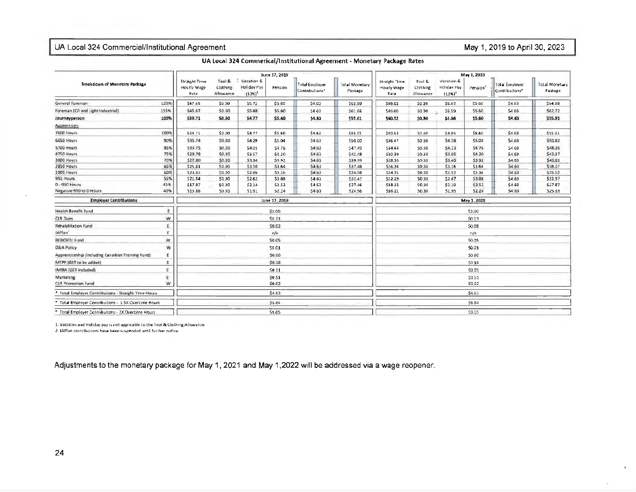#### UA Local 324 Commercial/Institutional Agreement

May 1, 2019 to April 30, 2023

|                                                      |      |                                             |                                  |                                                   | June 17, 2019 |                                  |                                  |                                      |                                 |                                        | May 1, 2020          |                                         |                           |  |
|------------------------------------------------------|------|---------------------------------------------|----------------------------------|---------------------------------------------------|---------------|----------------------------------|----------------------------------|--------------------------------------|---------------------------------|----------------------------------------|----------------------|-----------------------------------------|---------------------------|--|
| Breakdown of Monetary Package                        |      | <b>Straight Time</b><br>Hourly Wage<br>Rate | Tool &<br>Clothing.<br>Allowance | Vacation &<br>Holiday Pay<br>$(125)$ <sup>1</sup> | Pension       | Total Employer<br>Contributions* | <b>Total Monetary</b><br>Package | Straight Time<br>Hourly Wage<br>Rate | Tool &<br>Clothing<br>Allowance | Vacation &<br>Holiday Pay<br>$(12%)^1$ | Pension <sup>3</sup> | <b>Total Employer</b><br>Contributions* | Total Monetary<br>Package |  |
| General Foreman                                      | 120% | \$47.65                                     | \$0.30                           | \$5.72                                            | \$5.60        | \$4,63                           | \$63.90                          | \$48.62                              | \$0.30                          | \$5.83                                 | \$5.60               | \$4.63                                  | \$64.98                   |  |
| Foreman (C/I and Light Industrial)                   | 115% | S45.67                                      | 50.30                            | <b>SS.48</b>                                      | \$5.60        | \$4.63                           | \$61.68                          | \$46.60                              | \$0.30                          | \$5.59                                 | \$5.60               | \$4.63                                  | 562.72                    |  |
| Journeyperson                                        | 100% | \$39.71                                     | \$0.30                           | \$4.77                                            | \$5.60        | \$4.63                           | \$55.01                          | \$40.52                              | \$0.30                          | \$4.86                                 | \$5.60               | \$4.63                                  | \$55.91                   |  |
| Apprentices:                                         |      |                                             |                                  |                                                   |               |                                  |                                  |                                      |                                 |                                        |                      |                                         |                           |  |
| 7500 Haurs                                           | 100% | 539.71                                      | \$0.30                           | S4.77                                             | \$5.60        | \$4.63                           | \$55.01                          | \$40.52                              | \$0.30                          | \$4.86                                 | \$5.60               | \$4.63                                  | \$55.51                   |  |
| 6650 Hours                                           | 90%  | \$35.74                                     | \$0.30                           | \$4.29                                            | \$5.04        | \$4.63                           | \$50.00                          | 536.47                               | \$0.30                          | \$4.38                                 | 55.04                | \$4.63                                  | \$50.82                   |  |
| 5700 Hours                                           | 85%  | 533.75                                      | 50.30                            | \$405                                             | \$476         | \$4,63                           | S47.49                           | 534.44                               | \$0.30                          | \$4.13                                 | \$4.76               | \$4.63                                  | 548.26                    |  |
| 4750 Hours                                           | 75%  | \$29.78                                     | \$0.30                           | \$9.57                                            | \$4.20        | \$4.63                           | \$42.48                          | 530.39                               | \$0.30                          | \$3.65                                 | \$4.20               | \$4.63                                  | \$43.17                   |  |
| 3800 Hours                                           | 70%  | \$27.80                                     | 50.30                            | \$3.34                                            | 53.92         | \$4.63                           | \$39.99                          | \$28.36                              | \$0.30                          | 53.40                                  | \$3.92               | \$4.53                                  | \$40.61                   |  |
| 2850 Hours                                           | 65%  | \$25.81                                     | \$0.30                           | \$3.10                                            | \$3.64        | \$4.63                           | \$37.48                          | \$26.34                              | \$0.30                          | 53.16                                  | \$3.64               | \$4.63                                  | \$38.07                   |  |
| 1900 Hours                                           | 60%  | \$23.83                                     | SQ 30                            | <b>S2.86</b>                                      | \$3.36        | \$4.63                           | S34.98                           | 524.31                               | 50.30                           | \$2.92                                 | \$3.36               | \$4.63                                  | \$35.52                   |  |
| 951 Hours                                            | 55%  | \$21.84                                     | \$0.30                           | \$2.62                                            | \$3.08        | \$4.63                           | \$32.47                          | \$22.29                              | \$0.30                          | \$2.67                                 | \$3.08               | \$4.63                                  | \$32.97                   |  |
| 0 - 950 Hours                                        | 45%  | \$17.97                                     | \$0.30                           | \$2.14                                            | \$2.52        | \$4.63                           | \$27.46                          | \$18.23                              | 50.30                           | \$2.19                                 | \$2.52               | \$4.53                                  | \$27.87                   |  |
| Negative 950 to 0 Hours                              | 40%  | \$15.88                                     | 50.30                            | \$1.91                                            | S2 24         | \$4.63                           | \$24.96                          | \$16.21                              | \$0.30                          | 51.95                                  | 52.24                | \$4.63                                  | \$25.33                   |  |
| <b>Employer Contributions</b>                        |      |                                             |                                  |                                                   | June 17, 2019 |                                  |                                  |                                      | May 1, 2020                     |                                        |                      |                                         |                           |  |
| Health Benefit Fund                                  | E    |                                             |                                  |                                                   | \$3.00        |                                  |                                  |                                      | \$3.00                          |                                        |                      |                                         |                           |  |
| <b>CLR Dues</b>                                      | w    |                                             |                                  |                                                   | SO.13         |                                  |                                  | $50-13$                              |                                 |                                        |                      |                                         |                           |  |
| Rehabilitation Fund                                  | E.   |                                             |                                  |                                                   | \$0.02        |                                  |                                  | \$0.08                               |                                 |                                        |                      |                                         |                           |  |
| JAPlan'                                              | Ē.   |                                             |                                  |                                                   | n/a           |                                  |                                  | n/a                                  |                                 |                                        |                      |                                         |                           |  |
| <b>BCBCBTU Fund</b>                                  | w    |                                             |                                  |                                                   | 50.05         |                                  |                                  |                                      |                                 |                                        | 50.05                |                                         |                           |  |
| <b>D&amp;A Policy</b>                                | ₩    |                                             |                                  |                                                   | \$0.01        |                                  |                                  |                                      | 50.01                           |                                        |                      |                                         |                           |  |
| Apprenticeship (Including Canadian Training Fund)    | ε    |                                             |                                  |                                                   | \$0.60        |                                  |                                  | \$0.60                               |                                 |                                        |                      |                                         |                           |  |
| MTPF (GST to be added)                               | E    |                                             |                                  |                                                   | SO.1B         |                                  |                                  |                                      |                                 |                                        | 50.18                |                                         |                           |  |
| IMIRA (GST Included)                                 | E    |                                             |                                  |                                                   | 50.11         |                                  |                                  | \$0.05                               |                                 |                                        |                      |                                         |                           |  |
| Marketing                                            | E    |                                             | \$0.51                           |                                                   |               |                                  |                                  |                                      |                                 |                                        | \$0.51               |                                         |                           |  |
| <b>CLR Promotion Fund</b>                            | Ŵ    |                                             | \$0.02                           |                                                   |               |                                  |                                  |                                      |                                 |                                        | \$0.02               |                                         |                           |  |
| Total Employer Contributions · Straight Time Hours   |      |                                             |                                  |                                                   | \$4.63        |                                  |                                  |                                      |                                 |                                        | \$4.63               |                                         |                           |  |
| * Total Employer Contributions - 1.5X Overtime Hours |      |                                             |                                  |                                                   | <b>SE 84</b>  |                                  |                                  |                                      |                                 |                                        | \$6.84               |                                         |                           |  |
| Total Employer Contributions - 2X Overtime Hours     |      |                                             |                                  |                                                   | \$9.05        |                                  |                                  |                                      |                                 |                                        | \$9.05               |                                         |                           |  |

**UA local 324 Commerical/lnstitutional Agreement** - **Monetary Package Rates** 

1. Vacation and Holiday pay is not applicable to the Tool & Clothing Allowance.

*2. JAPlan contributions have been suspended until further notice* 

Adjustments to the monetary package for May 1, 2021 and May 1,2022 will be addressed via a wage reopener.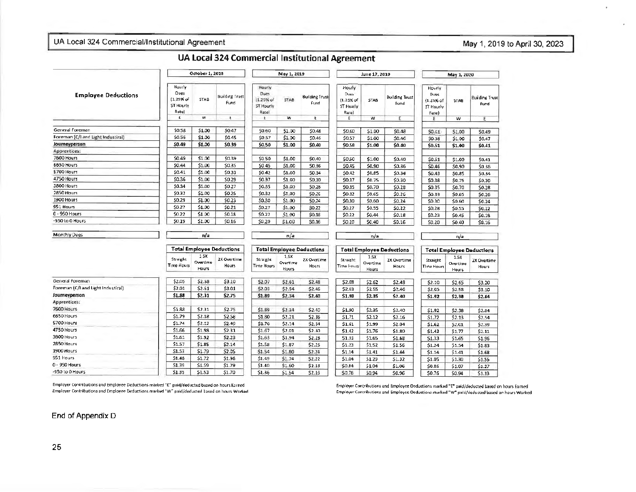### UA Local 324 Commercial/Institutional Agreement May 1, 2019 to April 30, 2023

|                                    |                                                   | October 1, 2018           |                                  |                                                   | May 1, 2019               |                               |                                                     | June 17, 2019             |                               | May 1, 2020                                       |                           |                        |
|------------------------------------|---------------------------------------------------|---------------------------|----------------------------------|---------------------------------------------------|---------------------------|-------------------------------|-----------------------------------------------------|---------------------------|-------------------------------|---------------------------------------------------|---------------------------|------------------------|
| <b>Employee Deductions</b>         | Hourly<br>Dues<br>(1.25% of<br>ST Hourly<br>Rate) | STAB                      | <b>Building Trust</b><br>Fund    | Houriv<br>Dues<br>(1.25% of<br>ST Houriy<br>Rate) | <b>STAB</b>               | <b>Building Trust</b><br>Fund | Hourly<br>Dues<br>$(1.25)$ of<br>ST Hourly<br>Rate) | STA <sub>B</sub>          | <b>Building Trust</b><br>Fund | Hourly<br>Dues<br>(1.25% of<br>ST Hourly<br>Rate) | <b>STAB</b>               | Building Trust<br>Fund |
|                                    | £                                                 | w                         | E                                | E                                                 | w                         | E                             | E                                                   | w                         | E                             | Ε                                                 | w                         | E                      |
| General Foreman                    | \$0.58                                            | \$1.00                    | \$0.47                           | \$0.60                                            |                           |                               |                                                     |                           |                               |                                                   |                           |                        |
| Foreman (C/I and Light Industiral) | \$0.56                                            | \$1.00                    | \$0.45                           | \$0.57                                            | \$1.00<br>\$1.00          | \$0.48                        | \$0.60                                              | \$1.00                    | \$0.48                        | \$0.61                                            | \$1.00                    | \$0.49                 |
| Journeyperson                      | \$0.49                                            | \$1.00                    | \$0.39                           | \$0.50                                            |                           | S0.46                         | \$0.57                                              | \$1.00                    | \$0.46                        | \$0.58                                            | \$1.00                    | \$0.47                 |
| Apprentices:                       |                                                   |                           |                                  |                                                   | \$1.00                    | \$0.40                        | \$0.50                                              | \$1.00                    | \$0.40                        | \$0.51                                            | \$1.00                    | \$0.41                 |
| 7600 Hours                         | \$0.49                                            | \$1.00                    | \$0.39                           |                                                   |                           |                               |                                                     |                           |                               |                                                   |                           |                        |
| <b>6650 Hours</b>                  | SO.44                                             | \$1.00                    |                                  | \$0.50                                            | \$1.00                    | \$0.40                        | \$0.50                                              | \$1.00                    | \$0.40                        | \$0.51                                            | \$1.00                    | \$0.41                 |
| 5700 Hours                         |                                                   |                           | \$0.35                           | \$0.45                                            | \$1.00                    | \$0.36                        | SO.45                                               | \$0.90                    | \$0.36                        | \$0.46                                            | \$0.90                    | \$0.36                 |
|                                    | \$0.41                                            | \$1.00                    | \$0.33                           | \$0.42                                            | \$1.00                    | \$0.34                        | \$0.42                                              | \$0.85                    | \$0.34                        | \$0.43                                            | 50.85                     | 50.34                  |
| 4750 Hours                         | \$0.36                                            | \$1.00                    | \$0.29                           | \$0.37                                            | \$1.00                    | \$0.30                        | <b>SO.37</b>                                        | \$0.75                    | \$0.30                        | \$0.38                                            | \$0.75                    | \$0.30                 |
| 3800 Hours                         | \$0.34                                            | \$1.00                    | \$0.27                           | \$0.35                                            | \$1.00                    | \$0.28                        | \$0.35                                              | \$0.70                    | \$0.28                        | \$0.35                                            | \$0.70                    | \$0.28                 |
| 2850 Hours                         | \$0.32                                            | \$1.00                    | \$0.25                           | \$0.32                                            | \$1,00                    | \$0.26                        | \$0.32                                              | \$0.65                    | \$0.26                        | \$0.33                                            | \$0.65                    | \$0.26                 |
| 1900 Hours                         | \$0.29                                            | \$1.00                    | \$0.23                           | \$0.30                                            | \$1.00                    | \$0.24                        | \$0.30                                              | \$0.60                    | \$0.24                        | 50.30                                             | \$0.60                    | \$0.24                 |
| 951 Hours                          | \$0.27                                            | \$1.00                    | \$0.21                           | \$0.27                                            | \$1,00                    | SO.22                         | \$0.27                                              | \$0.55                    | \$0.22                        | \$0.28                                            | \$0.55                    | SO.22                  |
| 0 - 950 Hours                      | \$0.22                                            | \$1.00                    | \$0.18                           | \$0.22                                            | \$1.00                    | \$0.18                        | \$0.22                                              | \$0.44                    | \$0.18                        | 50.23                                             | \$0.45                    | \$0.18                 |
| -950 to 0 Hours                    | \$0.19                                            | \$1.00                    | \$0.16                           | \$0.20                                            | \$1.00                    | \$0.16                        | \$0.20                                              | \$0.40                    | \$0.16                        | \$0.20                                            | \$0.40                    | \$0.16                 |
| <b>Manthly Dues</b>                |                                                   | n/a                       |                                  |                                                   | n/a                       |                               |                                                     | n/a                       |                               |                                                   | n/a                       |                        |
|                                    |                                                   |                           | <b>Total Employee Deductions</b> | <b>Total Employee Deductions</b>                  |                           |                               | <b>Total Employee Deductions</b>                    |                           |                               | <b>Total Employee Deductions</b>                  |                           |                        |
|                                    | Straight<br><b>Time Hours</b>                     | 1,5X<br>Overtime<br>Hours | 2X Overtime<br>Hours             | Straight<br><b>Time Hours</b>                     | 1.5x<br>Overtime<br>Hours | 2X Overtime<br>Hours          | Straight<br><b>Time Hours</b>                       | 1.5X<br>Overtime<br>Hours | 2X Overtime<br>Hours          | Straight<br>Time Hours                            | 1.5X<br>Overtime<br>Hours | 2X Overtime<br>Hours   |
| General Foreman                    | \$2,05                                            | \$2.58                    | \$3.10                           | \$2.07                                            | \$2.61                    | \$2.48                        | \$2.08                                              | \$2.62                    | \$2.48                        | \$2.10                                            | \$2.65                    | \$3.20                 |
| Foreman (C/I and Light Industiral) | \$2.01                                            | \$2.51                    | \$3.01                           | \$2.03                                            | \$2.54                    | \$2.46                        | \$2.03                                              | \$2.55                    | \$2.46                        | \$2.05                                            | \$2.58                    | \$3.10                 |
| Journeyperson                      | \$1.88                                            | \$2.31                    | \$2.75                           | \$1.89                                            | \$2.34                    | \$2.40                        | \$1.90                                              | \$2.35                    | 52.40                         | \$1.92                                            | \$2.38                    | \$2.84                 |
| Apprentices:                       |                                                   |                           |                                  |                                                   |                           |                               |                                                     |                           |                               |                                                   |                           |                        |
| 7600 Hours                         | \$1.88                                            | \$2.31                    | \$2.75                           | \$1.89                                            | \$2.34                    | \$2.40                        | \$1.90                                              | \$2.35                    | \$2.40                        | \$1.92                                            | \$2.38                    | \$2.84                 |
| 6650 Hours                         | \$1.79                                            | \$2.18                    | \$2.58                           | \$1.80                                            | 52.21                     | \$2.36                        | \$1.71                                              | 52.12                     | \$2.16                        | <b>S1.72</b>                                      | \$2.13                    | \$2.54                 |
| 5700 Hours                         | \$1.74                                            | 52.12                     | \$2.49                           | \$1.76                                            | \$2.14                    | \$2.34                        | \$1.61                                              | \$1.99                    | \$2.04                        | \$1.62                                            | \$2.01                    | \$2.39                 |
| 4750 Hours                         | \$1.66                                            | \$1.98                    | \$2.31                           | \$1.67                                            | \$2.01                    | \$2.30                        | 51.42                                               | \$1.76                    | \$1.80                        | \$1.43                                            | \$1.77                    | \$2.11                 |
| 3800 Hours                         | \$1.61                                            | \$1.92                    | \$2.23                           | \$1.63                                            | \$1.94                    | \$2.28                        | S1.33                                               | \$1.65                    | \$1.68                        | \$1.33                                            | 51.65                     | \$1.96                 |
| 2850 Hours                         | \$1.57                                            | \$1.85                    | \$2.14                           | \$1.58                                            | \$1.87                    | \$2.26                        | \$1.23                                              | \$1.52                    | \$1.56                        | \$1.24                                            | \$1.54                    | \$1.83                 |
| 1900 Hours                         | \$1.53                                            | \$1.79                    | \$2.05                           | \$1.54                                            | \$1.80                    | 52.24                         | \$1.14                                              | 51.41                     | \$1.44                        | \$1.14                                            | \$1.41                    | \$1.68                 |
| 951 Hours                          | 51.43                                             | \$1.72                    | \$1.96                           | \$1.49                                            | \$1.74                    | \$2.22                        | \$1.04                                              | 51.29                     | 51.32                         | \$1.05                                            | \$1.30                    | \$1.55                 |
| 0 - 950 Hours                      | 51.39                                             | \$1.59                    | \$1.79                           | \$1.40                                            | \$1.60                    | \$2.18                        | \$0.84                                              | 51.04                     | \$1.06                        | \$0.86                                            | \$1.07                    | \$1.27                 |
| -950 to 0 Hours                    | \$1.35                                            | \$1.53                    | \$1.70                           | \$1.36                                            | \$1.54                    | \$2.16                        | \$0.76                                              | \$0.94                    | \$0.96                        | \$0.76                                            | \$0.94                    | \$1.13                 |

UA Local 324 Commercial Institutional Agreement

Employer Contributions and Employee Deductions marked "E" paid/deducted based on hours Earned Employer Contributions and Employee Deductions marked "W" paid/deducted based on hours Worked

Employer Contributions and Employee Deductions marked "E" paid/deducted based on hours Earned Employer Cantributions and Employee Deductions marked "W" paid/deducted based on hours Worked

End of Appendix D